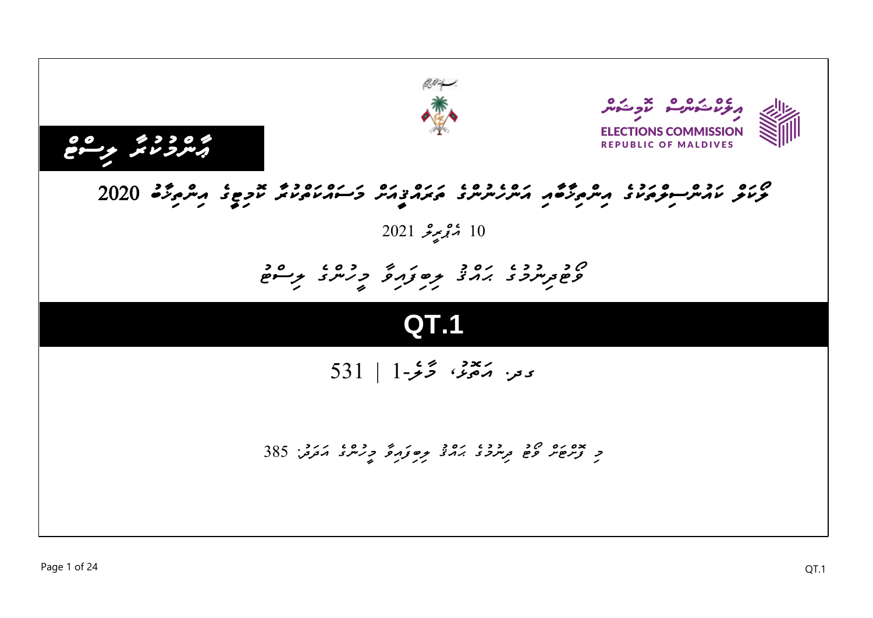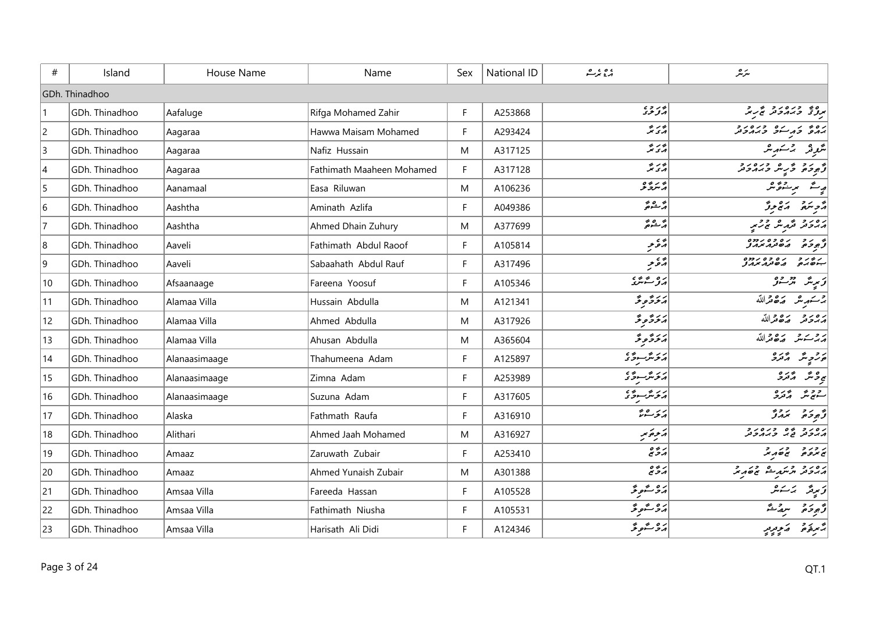| #                        | Island         | House Name    | Name                      | Sex         | National ID | ، ه ، بر <u>م</u>             | ىئرىتر                                           |
|--------------------------|----------------|---------------|---------------------------|-------------|-------------|-------------------------------|--------------------------------------------------|
|                          | GDh. Thinadhoo |               |                           |             |             |                               |                                                  |
| 1                        | GDh. Thinadhoo | Aafaluge      | Rifga Mohamed Zahir       | F           | A253868     | پر د ،<br>پرونو،              | بروته وره دو ته رقم                              |
| $\overline{2}$           | GDh. Thinadhoo | Aagaraa       | Hawwa Maisam Mohamed      | F           | A293424     | پرسمہ                         | رەپ كەرسى دىرەرد<br>بەھ كەرسىر دېرمرىر           |
| 3                        | GDh. Thinadhoo | Aagaraa       | Nafiz Hussain             | M           | A317125     | پرسمہ                         | شروش برستهرش                                     |
| $\overline{\mathcal{L}}$ | GDh. Thinadhoo | Aagaraa       | Fathimath Maaheen Mohamed | F           | A317128     | پرسمہ                         |                                                  |
| 5                        | GDh. Thinadhoo | Aanamaal      | Easa Riluwan              | M           | A106236     | پر پر ہ<br>مرکز پ             | اپرڪ <sub>مو</sub> ڪويس                          |
| 6                        | GDh. Thinadhoo | Aashtha       | Aminath Azlifa            | $\mathsf F$ | A049386     | پر ده پر<br>مرشومی            | أزويته أرجع وو                                   |
| $\overline{7}$           | GDh. Thinadhoo | Aashtha       | Ahmed Dhain Zuhury        | M           | A377699     | ره ده.<br>در شوه              | גפקד האת יל די ה                                 |
| 8                        | GDh. Thinadhoo | Aaveli        | Fathimath Abdul Raoof     | F           | A105814     | وحمحر                         | CONSOCO 100                                      |
| 9                        | GDh. Thinadhoo | Aaveli        | Sabaahath Abdul Rauf      | $\mathsf F$ | A317496     | وحمحر                         | נמני נסיסניהם<br>היסגם גם <i>נגמ</i> צמצ         |
| 10                       | GDh. Thinadhoo | Afsaanaage    | Fareena Yoosuf            | F           | A105346     | برو شەيدى<br>مە <b>ز</b>      | ۇ پېڭر ئۆسۈ                                      |
| 11                       | GDh. Thinadhoo | Alamaa Villa  | Hussain Abdulla           | M           | A121341     | پرځو څرگ                      | جرحريثر الكافدالله                               |
| 12                       | GDh. Thinadhoo | Alamaa Villa  | Ahmed Abdulla             | M           | A317926     | ىر ئەڭ <sub>مۇ</sub> گە       | برەرو برەۋراللە                                  |
| 13                       | GDh. Thinadhoo | Alamaa Villa  | Ahusan Abdulla            | M           | A365604     | بزيزة وقر                     | م حرث من من من الله                              |
| 14                       | GDh. Thinadhoo | Alanaasimaage | Thahumeena Adam           | F           | A125897     | ر ئەنگەسىزى<br>مەنزىتىر       | ر د پر پره<br>تورد شر                            |
| 15                       | GDh. Thinadhoo | Alanaasimaage | Zimna Adam                | F           | A253989     | ر ئە ئەر ئ <sup>ەر ئ</sup> ە  | ىردىگە ئەترى                                     |
| 16                       | GDh. Thinadhoo | Alanaasimaage | Suzuna Adam               | $\mathsf F$ | A317605     | ر ريگر په ده په<br>مرمو شرح د | روویژ پروه                                       |
| 17                       | GDh. Thinadhoo | Alaska        | Fathmath Raufa            | F           | A316910     | ىر ئەرەپە<br>مەخرىسىلىق       | وٌجوحَ مَدَ وَ                                   |
| 18                       | GDh. Thinadhoo | Alithari      | Ahmed Jaah Mohamed        | M           | A316927     | وكمعرضي                       | ر ه ر د په د در ه ر د<br>مربروتر نج پر و پرمروتر |
| 19                       | GDh. Thinadhoo | Amaaz         | Zaruwath Zubair           | F           | A253410     | بروه                          | ג כג כ כב ב                                      |
| 20                       | GDh. Thinadhoo | Amaaz         | Ahmed Yunaish Zubair      | M           | A301388     | رژی                           | גם גב בית בי הבא בי                              |
| 21                       | GDh. Thinadhoo | Amsaa Villa   | Fareeda Hassan            | F           | A105528     | ا ئەڭ سەھ بۇ ئى               | ۇ بوتۇ - ئەسكىلە                                 |
| 22                       | GDh. Thinadhoo | Amsaa Villa   | Fathimath Niusha          | F           | A105531     | ئەۋستىموقە                    | و مودة سمية                                      |
| 23                       | GDh. Thinadhoo | Amsaa Villa   | Harisath Ali Didi         | F           | A124346     | رَ دُ سُنَّمَو خَر            | ترمرة وكالمعروب                                  |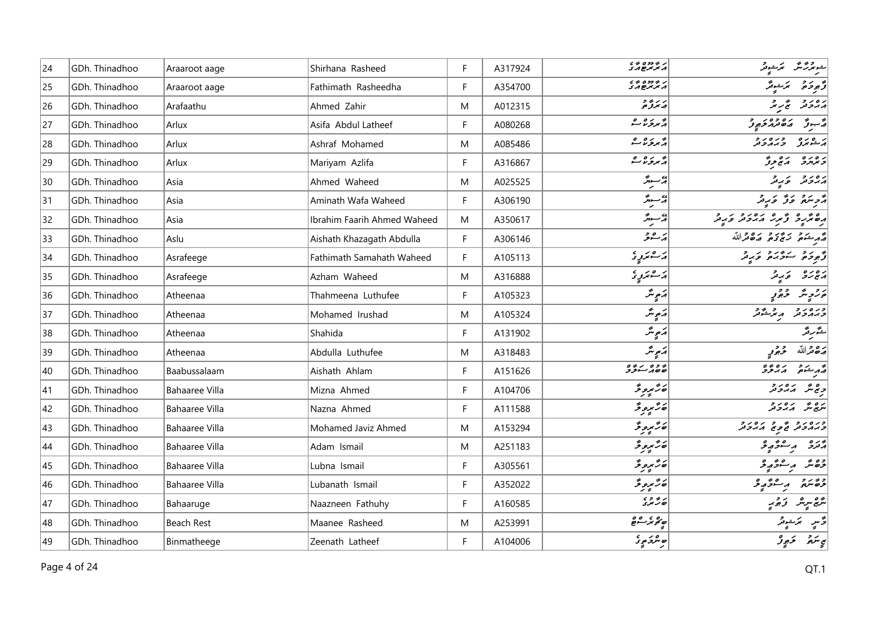| 24 | GDh. Thinadhoo | Araaroot aage         | Shirhana Rasheed            | F  | A317924 |                                                                                                                                                                                                                                                                                                                                   | شىرترتىگە - ئۈستىرتى                                    |
|----|----------------|-----------------------|-----------------------------|----|---------|-----------------------------------------------------------------------------------------------------------------------------------------------------------------------------------------------------------------------------------------------------------------------------------------------------------------------------------|---------------------------------------------------------|
| 25 | GDh. Thinadhoo | Araaroot aage         | Fathimath Rasheedha         | F. | A354700 | ر پر دده پر د<br>در بر برج در د                                                                                                                                                                                                                                                                                                   | توجوخا المتحفظة                                         |
| 26 | GDh. Thinadhoo | Arafaathu             | Ahmed Zahir                 | M  | A012315 | بر بر د و<br>هر تر تر می                                                                                                                                                                                                                                                                                                          | برەرو پچ پە                                             |
| 27 | GDh. Thinadhoo | Arlux                 | Asifa Abdul Latheef         | F. | A080268 | ۇ برىز ئە                                                                                                                                                                                                                                                                                                                         | ره وه ر<br>پره تر پر تر و<br>ةُ سِوِرَّ                 |
| 28 | GDh. Thinadhoo | Arlux                 | Ashraf Mohamed              | M  | A085486 | ۇ برىز ئە                                                                                                                                                                                                                                                                                                                         | و ره ر و<br><i>و پر</i> و تر<br>بر ۵ بر ٥<br>در شه مربو |
| 29 | GDh. Thinadhoo | Arlux                 | Mariyam Azlifa              | F  | A316867 | ۇ برىرە مە                                                                                                                                                                                                                                                                                                                        | د ۱۵ د ۲۵ وگړ                                           |
| 30 | GDh. Thinadhoo | Asia                  | Ahmed Waheed                | M  | A025525 | يئا <b>سى</b> پېر                                                                                                                                                                                                                                                                                                                 | دەر د ئەر                                               |
| 31 | GDh. Thinadhoo | Asia                  | Aminath Wafa Waheed         | F. | A306190 | ي ب<br>د سر                                                                                                                                                                                                                                                                                                                       | أأدويتماهم أوتقى أوارد                                  |
| 32 | GDh. Thinadhoo | Asia                  | Ibrahim Faarih Ahmed Waheed | M  | A350617 | ي<br>مرسستر                                                                                                                                                                                                                                                                                                                       | معترو ومرد مددو ورو                                     |
| 33 | GDh. Thinadhoo | Aslu                  | Aishath Khazagath Abdulla   | F. | A306146 | رمشو                                                                                                                                                                                                                                                                                                                              | ق مشوم زيج و ره قرالله                                  |
| 34 | GDh. Thinadhoo | Asrafeege             | Fathimath Samahath Waheed   | F. | A105113 | لەسشە ئىزىي ئە                                                                                                                                                                                                                                                                                                                    | و و د د د د د د                                         |
| 35 | GDh. Thinadhoo | Asrafeege             | Azham Waheed                | M  | A316888 | ىز س <sup>9</sup> ىخرى <sub>مى</sub> ئ                                                                                                                                                                                                                                                                                            | ره ره و در د<br>(په نور د کاروگر                        |
| 36 | GDh. Thinadhoo | Atheenaa              | Thahmeena Luthufee          | F  | A105323 | ړ په پر                                                                                                                                                                                                                                                                                                                           | أبرد بثر المحبوبي                                       |
| 37 | GDh. Thinadhoo | Atheenaa              | Mohamed Irushad             | M  | A105324 | ر<br>مەمبەتىر                                                                                                                                                                                                                                                                                                                     | ورەرو مەشگى                                             |
| 38 | GDh. Thinadhoo | Atheenaa              | Shahida                     | F  | A131902 | ړې پر                                                                                                                                                                                                                                                                                                                             | ىشەرىتر                                                 |
| 39 | GDh. Thinadhoo | Atheenaa              | Abdulla Luthufee            | M  | A318483 | لأمويتر                                                                                                                                                                                                                                                                                                                           | برە داللە ھەمچ                                          |
| 40 | GDh. Thinadhoo | Baabussalaam          | Aishath Ahlam               | F. | A151626 | پ <sup>ر و</sup> ه به دیږه                                                                                                                                                                                                                                                                                                        | ه در ده ده وه<br>مگرشوهی مربر وج                        |
| 41 | GDh. Thinadhoo | <b>Bahaaree Villa</b> | Mizna Ahmed                 | F. | A104706 | ە ئەبرە ۋ                                                                                                                                                                                                                                                                                                                         | د ع نثر مدر در د                                        |
| 42 | GDh. Thinadhoo | <b>Bahaaree Villa</b> | Nazna Ahmed                 | F. | A111588 | ە ئەبرە ۋ                                                                                                                                                                                                                                                                                                                         | ىرە بۇ بەر دەر د                                        |
| 43 | GDh. Thinadhoo | Bahaaree Villa        | Mohamed Javiz Ahmed         | M  | A153294 | ە ئەبرە ئ <sup>ۇ</sup>                                                                                                                                                                                                                                                                                                            | 1010 פ 1010 פ 1010<br>פגרכת פ 1950 קיבת                 |
| 44 | GDh. Thinadhoo | Bahaaree Villa        | Adam Ismail                 | M  | A251183 | ۇ ئەبىرە م <sup>ۇ</sup>                                                                                                                                                                                                                                                                                                           | وسنتورو<br>ء ر ہ<br>پر تر تر                            |
| 45 | GDh. Thinadhoo | <b>Bahaaree Villa</b> | Lubna Ismail                | F  | A305561 | ۇ ئەبىرە م <sup>ۇ</sup>                                                                                                                                                                                                                                                                                                           | وەشەر مەۋرۇ                                             |
| 46 | GDh. Thinadhoo | <b>Bahaaree Villa</b> | Lubanath Ismail             | F  | A352022 | ۇ ئەبىرە م <sup>ۇ</sup>                                                                                                                                                                                                                                                                                                           | ىر سەئۇم بۇ<br>و ه بر د<br>مره سره                      |
| 47 | GDh. Thinadhoo | Bahaaruge             | Naazneen Fathuhy            | F  | A160585 | ر و د ،<br>ن <i>ه ر</i> بو ،                                                                                                                                                                                                                                                                                                      | مدهم سرمر و در در بر<br>مدین استان                      |
| 48 | GDh. Thinadhoo | <b>Beach Rest</b>     | Maanee Rasheed              | M  | A253991 | $\begin{bmatrix} 0 & 0 & 0 & 0 \\ 0 & 0 & \sqrt{16} & 0 \\ 0 & 0 & 0 & \sqrt{16} & 0 \\ 0 & 0 & 0 & 0 & \sqrt{16} & 0 \\ 0 & 0 & 0 & 0 & 0 & 0 \\ 0 & 0 & 0 & 0 & 0 & 0 \\ 0 & 0 & 0 & 0 & 0 & 0 \\ 0 & 0 & 0 & 0 & 0 & 0 \\ 0 & 0 & 0 & 0 & 0 & 0 \\ 0 & 0 & 0 & 0 & 0 & 0 & 0 \\ 0 & 0 & 0 & 0 & 0 & 0 & 0 \\ 0 & 0 & 0 & 0 & $ | ئ <sup>ې</sup> س ئر <sub>ىشو</sub> تر                   |
| 49 | GDh. Thinadhoo | Binmatheege           | Zeenath Latheef             | F  | A104006 | ھ مر تر مي<br>پر                                                                                                                                                                                                                                                                                                                  | ىم ئىر ئىم ئىچە ئى                                      |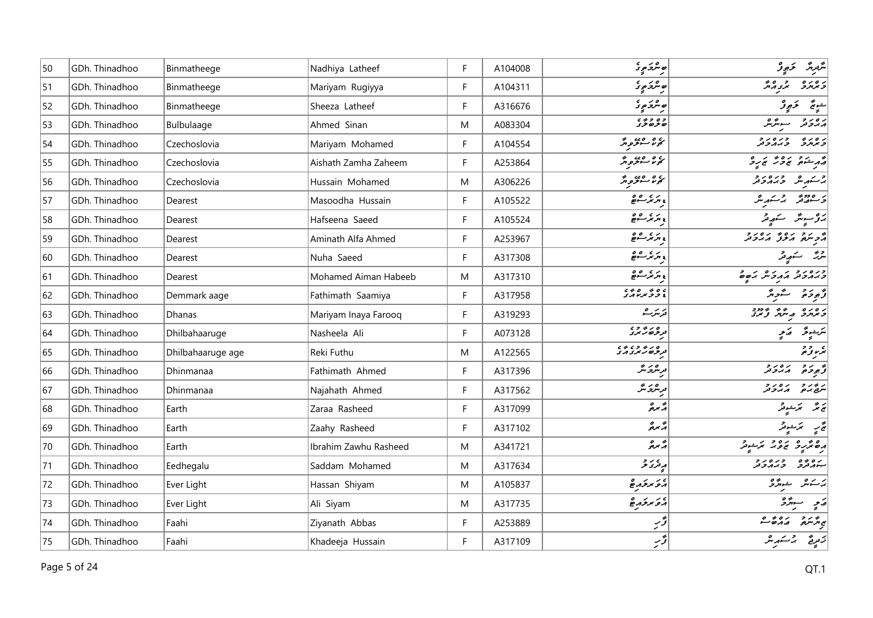| 50 | GDh. Thinadhoo | Binmatheege       | Nadhiya Latheef       | F           | A104008 | ە ئىر ئەم<br>ئىر ئىسىم                     | شورشر<br>مسترورش<br>ځوړ                                                                                                                                                                                                                                                                                                                                                                                                                                         |
|----|----------------|-------------------|-----------------------|-------------|---------|--------------------------------------------|-----------------------------------------------------------------------------------------------------------------------------------------------------------------------------------------------------------------------------------------------------------------------------------------------------------------------------------------------------------------------------------------------------------------------------------------------------------------|
| 51 | GDh. Thinadhoo | Binmatheege       | Mariyam Rugiyya       | $\mathsf F$ | A104311 | ە ئىر<br>ئىرىخىمى ئ                        | وبروه<br>و مي د<br>مر <sub>کب</sub> ر در                                                                                                                                                                                                                                                                                                                                                                                                                        |
| 52 | GDh. Thinadhoo | Binmatheege       | Sheeza Latheef        | F           | A316676 | ە پەر<br>ئەسرىي تەرىخ                      | $\frac{2}{\epsilon} \sum_{\substack{\mu \\ \nu \\ \nu}}$<br>ځېږو                                                                                                                                                                                                                                                                                                                                                                                                |
| 53 | GDh. Thinadhoo | Bulbulaage        | Ahmed Sinan           | M           | A083304 | و ه و و »<br><b>ت</b> ه <del>و</del> ته و  | رەرد سەشھ                                                                                                                                                                                                                                                                                                                                                                                                                                                       |
| 54 | GDh. Thinadhoo | Czechoslovia      | Mariyam Mohamed       | $\mathsf F$ | A104554 | ى ەھەر ھەر<br>مى                           | و ره ر و<br><i>و ټ</i> ه <del>و</del> تر<br>ر ه ر ه<br><del>د</del> بربرگ                                                                                                                                                                                                                                                                                                                                                                                       |
| 55 | GDh. Thinadhoo | Czechoslovia      | Aishath Zamha Zaheem  | $\mathsf F$ | A253864 | ې ه ۴۵ په په<br>کونا سوڅرمر                | ر د د ده ده د سر د مخارج کرد د                                                                                                                                                                                                                                                                                                                                                                                                                                  |
| 56 | GDh. Thinadhoo | Czechoslovia      | Hussain Mohamed       | M           | A306226 | <sup>ى ە</sup> ر مەسىر بەر                 | ج شهر شده در ۱۵۷۶                                                                                                                                                                                                                                                                                                                                                                                                                                               |
| 57 | GDh. Thinadhoo | Dearest           | Masoodha Hussain      | F           | A105522 | ۽ هر بر ڪ ھ                                | و معدود او در هر                                                                                                                                                                                                                                                                                                                                                                                                                                                |
| 58 | GDh. Thinadhoo | Dearest           | Hafseena Saeed        | F           | A105524 | ۽ هر تر شوھ                                | روب شر سکھونٹر<br>بروب سکھونٹر                                                                                                                                                                                                                                                                                                                                                                                                                                  |
| 59 | GDh. Thinadhoo | Dearest           | Aminath Alfa Ahmed    | $\mathsf F$ | A253967 | ۽ پر پر <sub>ص</sub> وم                    | أدوسمي أرجود المردوس                                                                                                                                                                                                                                                                                                                                                                                                                                            |
| 60 | GDh. Thinadhoo | Dearest           | Nuha Saeed            | F           | A317308 | ۽ هر برڪ ھ                                 | پژرمختصر مستقرر اللہ                                                                                                                                                                                                                                                                                                                                                                                                                                            |
| 61 | GDh. Thinadhoo | Dearest           | Mohamed Aiman Habeeb  | M           | A317310 | ۽ هر بئر ڪي                                | כנסנב ההכית הםם                                                                                                                                                                                                                                                                                                                                                                                                                                                 |
| 62 | GDh. Thinadhoo | Demmark aage      | Fathimath Saamiya     | F           | A317958 | ، ه و م و ه ،<br>د <del>و</del> و برنا د د | ۇيوخۇ شۇرۇ                                                                                                                                                                                                                                                                                                                                                                                                                                                      |
| 63 | GDh. Thinadhoo | Dhanas            | Mariyam Inaya Farooq  | $\mathsf F$ | A319293 | ترىئرىشە                                   | גם גם המידי הידי                                                                                                                                                                                                                                                                                                                                                                                                                                                |
| 64 | GDh. Thinadhoo | Dhilbahaaruge     | Nasheela Ali          | F           | A073128 | ه در ۶ و ۷<br>درگرفت تر بور                | للرسوقى الكافح                                                                                                                                                                                                                                                                                                                                                                                                                                                  |
| 65 | GDh. Thinadhoo | Dhilbahaaruge age | Reki Futhu            | M           | A122565 | ه د د د د د د د<br>درمون ترد د د           | بۇروۋە                                                                                                                                                                                                                                                                                                                                                                                                                                                          |
| 66 | GDh. Thinadhoo | Dhinmanaa         | Fathimath Ahmed       | F           | A317396 | <sub>مر</sub> ىرى ئىر                      | و دو ده دور                                                                                                                                                                                                                                                                                                                                                                                                                                                     |
| 67 | GDh. Thinadhoo | Dhinmanaa         | Najahath Ahmed        | F           | A317562 | مر مركز مگر                                | ىر پەر ج<br>سرچ بر م<br>بر 2 ر ح<br>م <i>ر</i> بر <del>د</del> تر                                                                                                                                                                                                                                                                                                                                                                                               |
| 68 | GDh. Thinadhoo | Earth             | Zaraa Rasheed         | F           | A317099 | پر ہ<br>مرسمی                              | ئے تین سیکسیونٹر                                                                                                                                                                                                                                                                                                                                                                                                                                                |
| 69 | GDh. Thinadhoo | Earth             | Zaahy Rasheed         | F           | A317102 | پر ہ<br>مرسمی                              | $\begin{array}{ccccc}\n\mathcal{Z}_{2} & \mathcal{Z}_{2} & \mathcal{Z}_{2} & \mathcal{Z}_{3} & \mathcal{Z}_{4} & \mathcal{Z}_{5} & \mathcal{Z}_{6} & \mathcal{Z}_{7} & \mathcal{Z}_{8} & \mathcal{Z}_{9} & \mathcal{Z}_{9} & \mathcal{Z}_{1} & \mathcal{Z}_{1} & \mathcal{Z}_{2} & \mathcal{Z}_{3} & \mathcal{Z}_{4} & \mathcal{Z}_{5} & \mathcal{Z}_{6} & \mathcal{Z}_{7} & \mathcal{Z}_{8} & \mathcal{Z}_{9} & \mathcal{Z}_{9} & \mathcal{Z}_{1} & \mathcal{$ |
| 70 | GDh. Thinadhoo | Earth             | Ibrahim Zawhu Rasheed | M           | A341721 | پر<br>مرسم                                 | مەھەر ئەر ئەر ئەسىم                                                                                                                                                                                                                                                                                                                                                                                                                                             |
| 71 | GDh. Thinadhoo | Eedhegalu         | Saddam Mohamed        | M           | A317634 | ېږ ټرنر تر<br>پ                            | ره ده دره در د<br>سوړندن د بر د تر                                                                                                                                                                                                                                                                                                                                                                                                                              |
| 72 | GDh. Thinadhoo | Ever Light        | Hassan Shiyam         | M           | A105837 | أموعر مخرم هج                              | بركسكس خوردو                                                                                                                                                                                                                                                                                                                                                                                                                                                    |
| 73 | GDh. Thinadhoo | Ever Light        | Ali Siyam             | M           | A317735 | بموسوده                                    | ړې سورو<br>مړينې                                                                                                                                                                                                                                                                                                                                                                                                                                                |
| 74 | GDh. Thinadhoo | Faahi             | Ziyanath Abbas        | $\mathsf F$ | A253889 | و<br>تر ر                                  | پر بڑ ہے<br>سی مرسمبر<br>رەپچە                                                                                                                                                                                                                                                                                                                                                                                                                                  |
| 75 | GDh. Thinadhoo | Faahi             | Khadeeja Hussain      | F           | A317109 | و<br>قرس                                   | ترميعً بركسمه مر                                                                                                                                                                                                                                                                                                                                                                                                                                                |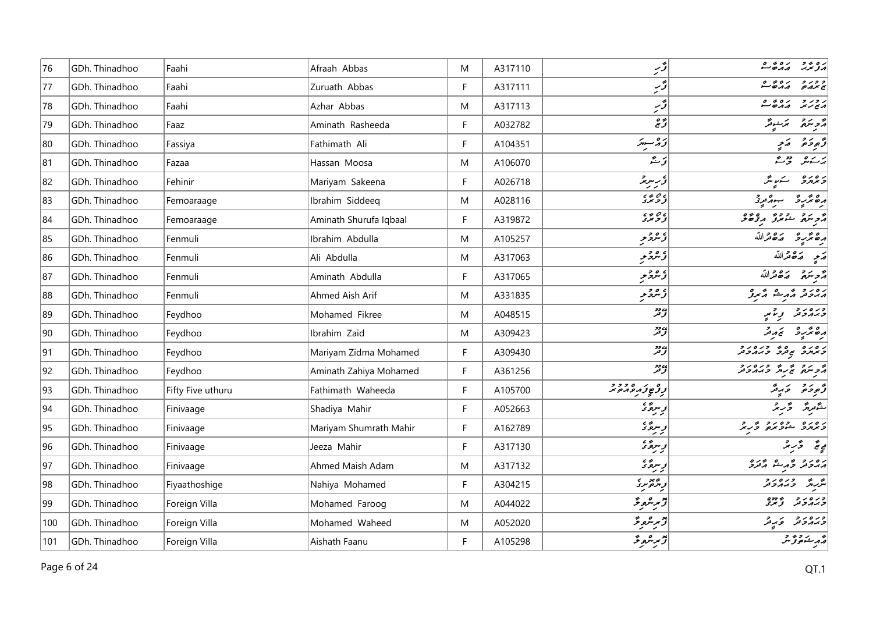| 76  | GDh. Thinadhoo | Faahi             | Afraah Abbas           | M  | A317110 | و<br>ترس                                                 | رەپچە<br>بره پور<br>مرکز مربر                               |
|-----|----------------|-------------------|------------------------|----|---------|----------------------------------------------------------|-------------------------------------------------------------|
| 77  | GDh. Thinadhoo | Faahi             | Zuruath Abbas          | F. | A317111 | $\frac{1}{2}$                                            | رەپچە<br>و و ر و<br>مح محرجر ح                              |
| 78  | GDh. Thinadhoo | Faahi             | Azhar Abbas            | M  | A317113 | ۇر<br>ئ                                                  | ەرەپە<br>ىر جە ئەتەر                                        |
| 79  | GDh. Thinadhoo | Faaz              | Aminath Rasheeda       | F  | A032782 | ی مح<br>ترنبی                                            | أرمر وسنرة<br>ىمەسىمىتىر                                    |
| 80  | GDh. Thinadhoo | Fassiya           | Fathimath Ali          | F  | A104351 | ئە ئەرىبىر<br>س                                          | ا تۇ جۇ جۇ ج<br>ەتىر                                        |
| 81  | GDh. Thinadhoo | Fazaa             | Hassan Moosa           | Μ  | A106070 | ئوشہ                                                     | برستەھر<br>دو مع                                            |
| 82  | GDh. Thinadhoo | Fehinir           | Mariyam Sakeena        | F  | A026718 | ۇرىبرىژ                                                  | سەَ بىر<br>ر ه ر ه<br><del>ر</del> بربرگ                    |
| 83  | GDh. Thinadhoo | Femoaraage        | Ibrahim Siddeeq        | M  | A028116 | ه ۶ پر <sup>ج</sup><br>تو <del>و</del> بو <sub>ت</sub> و | رەشرە بىرەر <i>ە</i>                                        |
| 84  | GDh. Thinadhoo | Femoaraage        | Aminath Shurufa Iqbaal | F  | A319872 | ې <i>۵ په پ</i><br>تو د مرد                              | ة روم شورو ووه و                                            |
| 85  | GDh. Thinadhoo | Fenmuli           | Ibrahim Abdulla        | M  | A105257 | ۇ ئەچە بىر                                               | ر <i>ە يۈرە</i><br>مەمرى مەھىراللە                          |
| 86  | GDh. Thinadhoo | Fenmuli           | Ali Abdulla            | M  | A317063 | ۇ پرد ئر                                                 | أقه قائد الله                                               |
| 87  | GDh. Thinadhoo | Fenmuli           | Aminath Abdulla        | F. | A317065 | ۇمۇدىر                                                   | مذحر سترقم وكاله تحالله                                     |
| 88  | GDh. Thinadhoo | Fenmuli           | Ahmed Aish Arif        | Μ  | A331835 | اؤعدفمر                                                  | גפיב גול האים היקר                                          |
| 89  | GDh. Thinadhoo | Feydhoo           | Mohamed Fikree         | Μ  | A048515 | درود<br>تو تعر                                           | ورەر د دىھر<br>دىدمەدىر دىمبر                               |
| 90  | GDh. Thinadhoo | Feydhoo           | Ibrahim Zaid           | M  | A309423 | درود<br>تو تعر                                           | ת <i>ביציב</i> התנג                                         |
| 91  | GDh. Thinadhoo | Feydhoo           | Mariyam Zidma Mohamed  | F  | A309430 | درود<br>توفر                                             | גפגם פרש 1979 ברי<br>קיצו <i>נ</i> ל <sub>19</sub> 84 בממכת |
| 92  | GDh. Thinadhoo | Feydhoo           | Aminath Zahiya Mohamed | F. | A361256 | درود<br>توفر                                             | أثرم معجم المراكب وبرود و                                   |
| 93  | GDh. Thinadhoo | Fifty Five uthuru | Fathimath Waheeda      | F  | A105700 | ږ ژو <u>ې</u> زېږ ه د د د                                | قەدىقى قايدىگە                                              |
| 94  | GDh. Thinadhoo | Finivaage         | Shadiya Mahir          | F  | A052663 | او مدینې<br>پ                                            | شَمرير دُ رَبَّر                                            |
| 95  | GDh. Thinadhoo | Finivaage         | Mariyam Shumrath Mahir | F  | A162789 | ار سرچ <sup>ي</sup><br><u>سرچ</u> چ                      |                                                             |
| 96  | GDh. Thinadhoo | Finivaage         | Jeeza Mahir            | F  | A317130 | وسرة و                                                   | يې تگە ئەگەر تىر                                            |
| 97  | GDh. Thinadhoo | Finivaage         | Ahmed Maish Adam       | Μ  | A317132 | و سرچ <sup>ي</sup>                                       | -<br>رور و محمد شوره<br>مدوند و مش                          |
| 98  | GDh. Thinadhoo | Fiyaathoshige     | Nahiya Mohamed         | F  | A304215 | و پر پر<br>پر مربو سر پر                                 | شريد ورەرو                                                  |
| 99  | GDh. Thinadhoo | Foreign Villa     | Mohamed Faroog         | Μ  | A044022 | ېزىر ش <sub>ەر</sub> ئە                                  | כנסנכ שככם<br><i>כג</i> ו <i>ג</i> כנ <i>ג צ</i> יג         |
| 100 | GDh. Thinadhoo | Foreign Villa     | Mohamed Waheed         | M  | A052020 | قرمر شرعر محر                                            | כנסנכ גב<br> כמהכת פֿמֲת                                    |
| 101 | GDh. Thinadhoo | Foreign Villa     | Aishath Faanu          | F  | A105298 | ۇ <sub>مر</sub> ىئر <sub>ىر</sub> ئە                     | ۇ بەيدە ئەتىر                                               |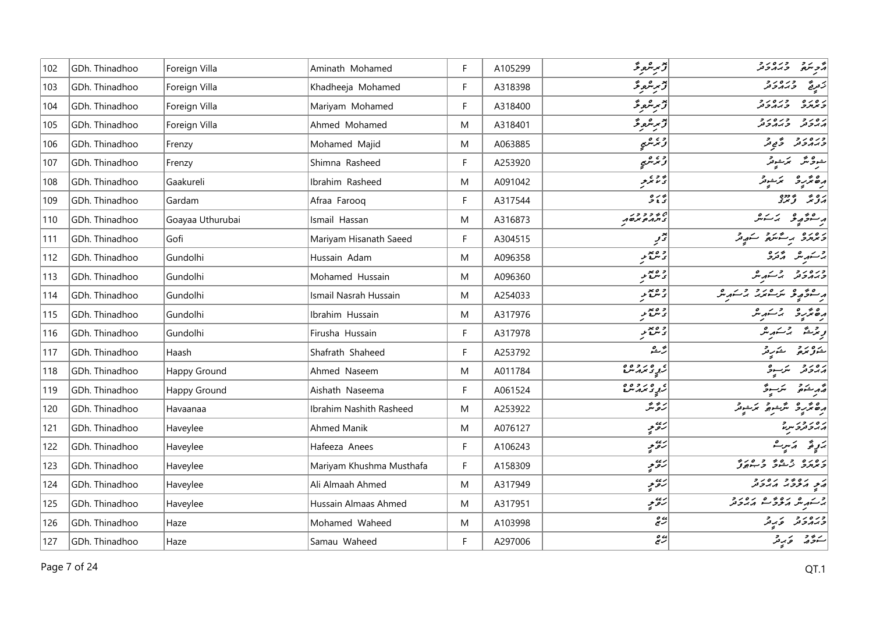| 102 | GDh. Thinadhoo | Foreign Villa    | Aminath Mohamed          | F           | A105299 | ۇ برى <sub>شم</sub> و ئ <sup>ۇ</sup> | و ره ر و<br>تر پر ژنگر<br>أثر حريجو                                                      |
|-----|----------------|------------------|--------------------------|-------------|---------|--------------------------------------|------------------------------------------------------------------------------------------|
| 103 | GDh. Thinadhoo | Foreign Villa    | Khadheeja Mohamed        | F           | A318398 | ز<br>ئ <sup>ىر بى</sup> رمىرىگە      | ترْمِرِيَّ<br>و ره ر و<br><i>و پر</i> و تر                                               |
| 104 | GDh. Thinadhoo | Foreign Villa    | Mariyam Mohamed          | $\mathsf F$ | A318400 | بر بر بر <sub>عب</sub> و بحر         | ر ہ ر ہ<br><del>ر</del> بربرو<br>و ر ه ر و<br><i>و پر</i> و تر                           |
| 105 | GDh. Thinadhoo | Foreign Villa    | Ahmed Mohamed            | M           | A318401 | ۇ <sub>مرىنىمو</sub> ئۇ              | و ره ر و<br><i>د ب</i> رگرفر<br>پروژو                                                    |
| 106 | GDh. Thinadhoo | Frenzy           | Mohamed Majid            | M           | A063885 | إقرىئرمىي                            | ورەر د ئې تر                                                                             |
| 107 | GDh. Thinadhoo | Frenzy           | Shimna Rasheed           | $\mathsf F$ | A253920 | د ، ه هر<br>تر مر شر <sub>س</sub> ح  | جروش ترجر                                                                                |
| 108 | GDh. Thinadhoo | Gaakureli        | Ibrahim Rasheed          | M           | A091042 | ۇ دې<br>د ئاتلىر                     | رەنزىر ترىنونر                                                                           |
| 109 | GDh. Thinadhoo | Gardam           | Afraa Farooq             | $\mathsf F$ | A317544 | په ره<br>د نام                       | پره پو<br>یر دو ہ<br>تر محر <sup>ب</sup> ی                                               |
| 110 | GDh. Thinadhoo | Goayaa Uthurubai | Ismail Hassan            | M           | A316873 | م و د د د د .<br>د مرم و رځم         | ر جۇرپۇ بارىكە                                                                           |
| 111 | GDh. Thinadhoo | Gofi             | Mariyam Hisanath Saeed   | F           | A304515 | تخمخ                                 | دەرە بەشكە سەپە                                                                          |
| 112 | GDh. Thinadhoo | Gundolhi         | Hussain Adam             | M           | A096358 | وه بور                               | 2 سەر شەرە                                                                               |
| 113 | GDh. Thinadhoo | Gundolhi         | Mohamed Hussain          | M           | A096360 | د ه بو<br>ۍ مرغ مو                   | ورەرو ئەسكەش                                                                             |
| 114 | GDh. Thinadhoo | Gundolhi         | Ismail Nasrah Hussain    | M           | A254033 | و ه بو<br> ۍ مرغ مو                  | وصفحوه عرضت المسكر                                                                       |
| 115 | GDh. Thinadhoo | Gundolhi         | Ibrahim Hussain          | M           | A317976 | و ه بو<br> ۍ مترنا مړ                | معترج بمنهر                                                                              |
| 116 | GDh. Thinadhoo | Gundolhi         | Firusha Hussain          | F           | A317978 | د ه بو<br>د مکړې مو                  | ويرتثق برستهرش                                                                           |
| 117 | GDh. Thinadhoo | Haash            | Shafrath Shaheed         | F           | A253792 | رژیئه                                | شور برو سندر ته                                                                          |
| 118 | GDh. Thinadhoo | Happy Ground     | Ahmed Naseem             | M           | A011784 | <sup>ى</sup> پە <i>قىدە</i> بىرى     | أرەر ئەسرە                                                                               |
| 119 | GDh. Thinadhoo | Happy Ground     | Aishath Naseema          | F           | A061524 | ې په <i>د د و</i> ه و                | و<br>وأمر شكوتو المستركب                                                                 |
| 120 | GDh. Thinadhoo | Havaanaa         | Ibrahim Nashith Rasheed  | M           | A253922 | ىر ئەشر                              | أرە ئۇرۇ ئۇشرۇ ئۇشوتر                                                                    |
| 121 | GDh. Thinadhoo | Haveylee         | <b>Ahmed Manik</b>       | M           | A076127 | ريمو<br>رومو                         | ره د در<br>  د بر د ترو سره                                                              |
| 122 | GDh. Thinadhoo | Haveylee         | Hafeeza Anees            | F           | A106243 | ريمي                                 | برَوٍ يَوَ " مَ سِرِ ک                                                                   |
| 123 | GDh. Thinadhoo | Haveylee         | Mariyam Khushma Musthafa | $\mathsf F$ | A158309 | ريى<br>رۇپە                          | ره ره ده ده ده دره<br>د بربرد گشور د جوړ                                                 |
| 124 | GDh. Thinadhoo | Haveylee         | Ali Almaah Ahmed         | M           | A317949 | رىيە                                 | وكمستحر والمتحدث والمراكب                                                                |
| 125 | GDh. Thinadhoo | Haveylee         | Hussain Almaas Ahmed     | M           | A317951 | ريمي                                 | ج ڪرمر مرور صدر در در                                                                    |
| 126 | GDh. Thinadhoo | Haze             | Mohamed Waheed           | M           | A103998 | مئ جم<br>  مئ                        |                                                                                          |
| 127 | GDh. Thinadhoo | Haze             | Samau Waheed             | F           | A297006 | ره ه<br>مربع                         | ر ديو د مور د محمد بر د بر د بر د بر د بر د به در استاده کرد .<br>مسئون د به او کاربر در |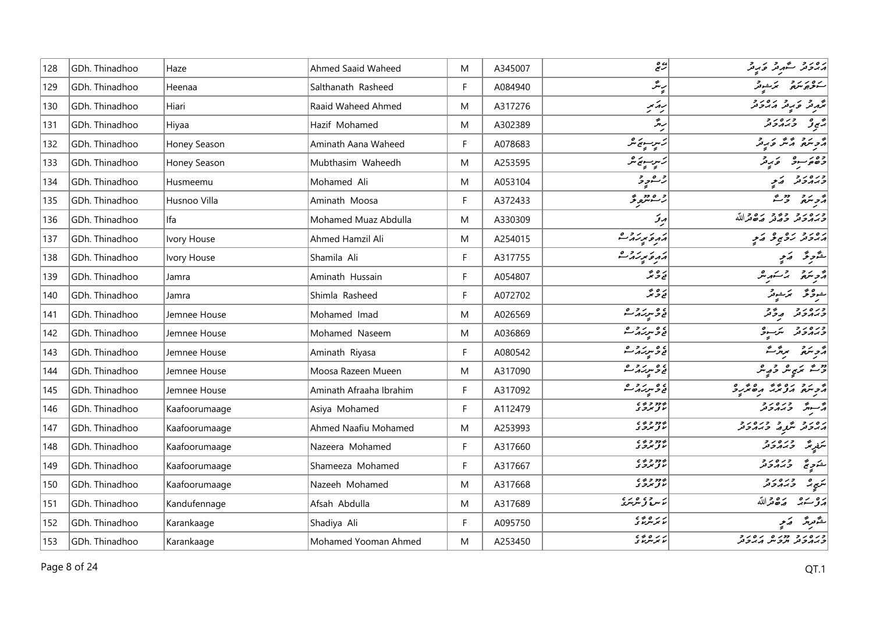| 128 | GDh. Thinadhoo | Haze          | Ahmed Saaid Waheed      | M           | A345007 | پر مح<br>  مربع                           | ړه د د عمر ته ځ په تر                   |
|-----|----------------|---------------|-------------------------|-------------|---------|-------------------------------------------|-----------------------------------------|
| 129 | GDh. Thinadhoo | Heenaa        | Salthanath Rasheed      | E           | A084940 | ىرىتىر                                    | سكوجوسرة الممرشوش                       |
| 130 | GDh. Thinadhoo | Hiari         | Raaid Waheed Ahmed      | M           | A317276 | رِ پر                                     | بمرد و د د د د د                        |
| 131 | GDh. Thinadhoo | Hiyaa         | Hazif Mohamed           | M           | A302389 | رپڙ                                       | و رە ر د<br>تر پر تر تر<br>چې د گل      |
| 132 | GDh. Thinadhoo | Honey Season  | Aminath Aana Waheed     | $\mathsf F$ | A078683 | ئەسەسە يەيھە<br>سىسىيە                    | مُ و سَرَةِ مُ سُرَّ ءَ رِ تَر          |
| 133 | GDh. Thinadhoo | Honey Season  | Mubthasim Waheedh       | M           | A253595 | ئەبىر سەيچە بىر<br>ئەسىمە                 | وەھ دە ئەبىر                            |
| 134 | GDh. Thinadhoo | Husmeemu      | Mohamed Ali             | M           | A053104 | <sup>و</sup> ڪ <sub>مو</sub> و            | ورەرو كەي                               |
| 135 | GDh. Thinadhoo | Husnoo Villa  | Aminath Moosa           | F           | A372433 | <sup>ح</sup> ەسىتىمو ئە                   | أروبتره وحرث                            |
| 136 | GDh. Thinadhoo | Ifa           | Mohamed Muaz Abdulla    | M           | A330309 | وقر                                       | وره رو ووو ره دالله                     |
| 137 | GDh. Thinadhoo | Ivory House   | Ahmed Hamzil Ali        | M           | A254015 | ە ئەبە ئەيرىر ئە <sup>م</sup> ە           | رورو رو <sub>يو</sub> و <sub>مک</sub> ر |
| 138 | GDh. Thinadhoo | Ivory House   | Shamila Ali             | F           | A317755 | ا ئەر ئەس ئەرقىت<br>كەنبە                 | لمشروقى الأمر                           |
| 139 | GDh. Thinadhoo | Jamra         | Aminath Hussain         | F           | A054807 | ر ہ<br>قع حر مگر                          | أدوسم بالمسكر                           |
| 140 | GDh. Thinadhoo | Jamra         | Shimla Rasheed          | F           | A072702 | پر ہ پڑ                                   | شوۋىخى ئېزىشوتىر                        |
| 141 | GDh. Thinadhoo | Jemnee House  | Mohamed Imad            | M           | A026569 | ئ <sub>ە</sub> ۋ <sub>سرىكە</sub> ر قىلىم | כנסנכ הבב                               |
| 142 | GDh. Thinadhoo | Jemnee House  | Mohamed Naseem          | M           | A036869 | ء و <sub>سریر</sub> پر م                  | ورەرو شرىدۇ                             |
| 143 | GDh. Thinadhoo | Jemnee House  | Aminath Riyasa          | F           | A080542 | ە ئەس <i>رىر قە</i> ر                     | ومحر يتمر مروثة                         |
| 144 | GDh. Thinadhoo | Jemnee House  | Moosa Razeen Mueen      | M           | A317090 | پروسرپر ژے<br>  پروسرپر ژے                | دخش برې په د وړ پر                      |
| 145 | GDh. Thinadhoo | Jemnee House  | Aminath Afraaha Ibrahim | F           | A317092 | <sub>ئ</sub> و <sub>سریر تمر م</sub>      |                                         |
| 146 | GDh. Thinadhoo | Kaafoorumaage | Asiya Mohamed           | F           | A112479 | ه دو و د پ<br>ما تو بور پ                 | و دره در در د                           |
| 147 | GDh. Thinadhoo | Kaafoorumaage | Ahmed Naafiu Mohamed    | M           | A253993 | ۶ وه و ۶ و.<br>ما تو مورد ی               | رورد شرد درورد                          |
| 148 | GDh. Thinadhoo | Kaafoorumaage | Nazeera Mohamed         | $\mathsf F$ | A317660 | ۶ دو و ۶<br>  ما تو بوری                  | سَمْرٍ مَدَّ - در د                     |
| 149 | GDh. Thinadhoo | Kaafoorumaage | Shameeza Mohamed        | F           | A317667 | ه دو و د پ<br>ما تو بور پ                 | شَرْحٍ حَ رَحْمَدَ مَرْ                 |
| 150 | GDh. Thinadhoo | Kaafoorumaage | Nazeeh Mohamed          | M           | A317668 | ۶ وه و ۶ و.<br>ما تو مورد ی               | أتكبي ورورد                             |
| 151 | GDh. Thinadhoo | Kandufennage  | Afsah Abdulla           | M           | A317689 | ر سره په ه ر په<br>ماسيد نومبرس           | مروسة مكافرالله                         |
| 152 | GDh. Thinadhoo | Karankaage    | Shadiya Ali             | F           | A095750 | ر ر ه و د ،<br>ما بر سرد د                | شَّمَرِيَّز رَبِّ                       |
| 153 | GDh. Thinadhoo | Karankaage    | Mohamed Yooman Ahmed    | M           | A253450 | ر ر ه و د ،<br>ما مرس د د                 | כנסני הרגם נסנים<br>במהכת תכית המכת     |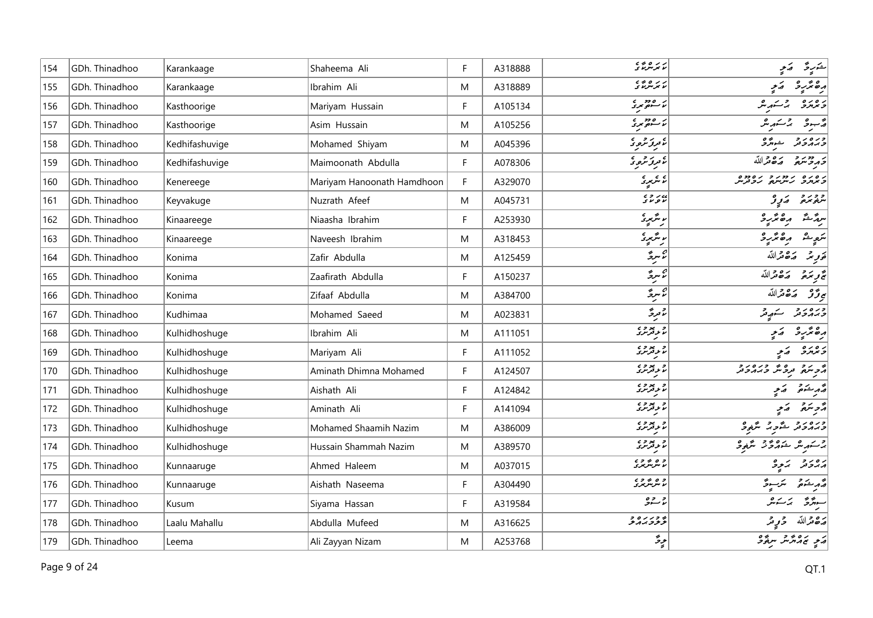| 154 | GDh. Thinadhoo | Karankaage     | Shaheema Ali               | F           | A318888 | ر ره ۶۵<br>ما بر مرما د             | ىشەرىچ<br>ئ<br>ەئىر                                       |
|-----|----------------|----------------|----------------------------|-------------|---------|-------------------------------------|-----------------------------------------------------------|
| 155 | GDh. Thinadhoo | Karankaage     | Ibrahim Ali                | M           | A318889 | ر ر ه و »<br>ما مرس د               | ەر ھەترىر <i>3</i>                                        |
| 156 | GDh. Thinadhoo | Kasthoorige    | Mariyam Hussain            | F           | A105134 | ر دود د<br>ماڪھونبرد                | ر ه ر ه<br>د بربر د<br>جەسەمبەش <sub>ى</sub>              |
| 157 | GDh. Thinadhoo | Kasthoorige    | Asim Hussain               | M           | A105256 | ر ۶۶۵ و.<br>ما سسومي موري           | پر ہے<br>مرسسہ خ                                          |
| 158 | GDh. Thinadhoo | Kedhifashuvige | Mohamed Shiyam             | M           | A045396 | ء مرتر تر <sub>حر</sub> ء<br>م      | و ر ه ر د<br>د بر پر تر<br>شەدگرى                         |
| 159 | GDh. Thinadhoo | Kedhifashuvige | Maimoonath Abdulla         | $\mathsf F$ | A078306 | ئامىرى تر <sub>ىم</sub> تە          | ەھەتراللە<br>ر دور د<br><del>ز</del> در سره               |
| 160 | GDh. Thinadhoo | Kenereege      | Mariyam Hanoonath Hamdhoon | $\mathsf F$ | A329070 | ع متن پر مح<br>م                    | קסקס קחבקים קסחים<br>פיזנוקים קייקויות הפינקויו           |
| 161 | GDh. Thinadhoo | Keyvakuge      | Nuzrath Afeef              | M           | A045731 | در د د<br>ما و ما د                 | د د د د<br>سره پره<br>ە ئو ۋ                              |
| 162 | GDh. Thinadhoo | Kinaareege     | Niaasha Ibrahim            | F           | A253930 | ىدىتىرىدى<br>س                      | ە ھەمەر ج<br>سرممش                                        |
| 163 | GDh. Thinadhoo | Kinaareege     | Naveesh Ibrahim            | M           | A318453 | ىر مېژىيە <sup>ي</sup>              | برە ئۈرۈ<br>سَموِثٌ                                       |
| 164 | GDh. Thinadhoo | Konima         | Zafir Abdulla              | M           | A125459 | لأمبرقه                             | برە قرالله<br>خوريز                                       |
| 165 | GDh. Thinadhoo | Konima         | Zaafirath Abdulla          | F           | A150237 | لأسرقه                              | پ <sup>ج</sup> پو بر ج<br>برەقراللە                       |
| 166 | GDh. Thinadhoo | Konima         | Zifaaf Abdulla             | M           | A384700 | لأمبرقه                             | ىج قرٌ تۇ<br>برە قراللە                                   |
| 167 | GDh. Thinadhoo | Kudhimaa       | Mohamed Saeed              | M           | A023831 | مذمرةً                              | و ره ر و<br>د بر د تر<br>سكهرقر                           |
| 168 | GDh. Thinadhoo | Kulhidhoshuge  | Ibrahim Ali                | M           | A111051 | و پوو ،<br>ما نوفر نړۍ              | ە ھەترىر <sup>ە</sup><br>ەتىر                             |
| 169 | GDh. Thinadhoo | Kulhidhoshuge  | Mariyam Ali                | F           | A111052 | و مو و ء<br>ما عرفر مرد             | أوجهود أمامي                                              |
| 170 | GDh. Thinadhoo | Kulhidhoshuge  | Aminath Dhimna Mohamed     | F           | A124507 | و پوو ،<br>ما <sub>کو</sub> تر تر پ | הקיימה נקבית כמחכת                                        |
| 171 | GDh. Thinadhoo | Kulhidhoshuge  | Aishath Ali                | F.          | A124842 | و پوو ،<br>ما نوفرمزی               | وكرمشتمو الكامح                                           |
| 172 | GDh. Thinadhoo | Kulhidhoshuge  | Aminath Ali                | F           | A141094 | و مووو،<br>ما نوفر نرو              | ۇ جە ئىكە<br>رځ پو                                        |
| 173 | GDh. Thinadhoo | Kulhidhoshuge  | Mohamed Shaamih Nazim      | M           | A386009 | د پرور<br>تا پرېژنژۍ                | ورەرو ھۇدر شرور                                           |
| 174 | GDh. Thinadhoo | Kulhidhoshuge  | Hussain Shammah Nazim      | M           | A389570 | و پوو ،<br>ما نوفر نړۍ              | و سور مده ده و در در در در استفاده<br>بر سور سور در ستفرد |
| 175 | GDh. Thinadhoo | Kunnaaruge     | Ahmed Haleem               | M           | A037015 | د ه پر د ،<br>پړسربرۍ               | رەرو رو                                                   |
| 176 | GDh. Thinadhoo | Kunnaaruge     | Aishath Naseema            | F           | A304490 | د ه پر د ،<br>پاسرسربرد             | وأوسفكم الكرسوم                                           |
| 177 | GDh. Thinadhoo | <b>Kusum</b>   | Siyama Hassan              | F           | A319584 | يزيزه                               | سىدىخ<br>برسەيىتىر                                        |
| 178 | GDh. Thinadhoo | Laalu Mahallu  | Abdulla Mufeed             | M           | A316625 | ء د ر ر ه د<br>نرن پر ر             | يرەقراللە<br>ترتوتر                                       |
| 179 | GDh. Thinadhoo | Leema          | Ali Zayyan Nizam           | M           | A253768 | مجرشح                               | أَمَرِ بِهِ وَمُحْمَدٍ سِهْرِ وَ                          |
|     |                |                |                            |             |         |                                     |                                                           |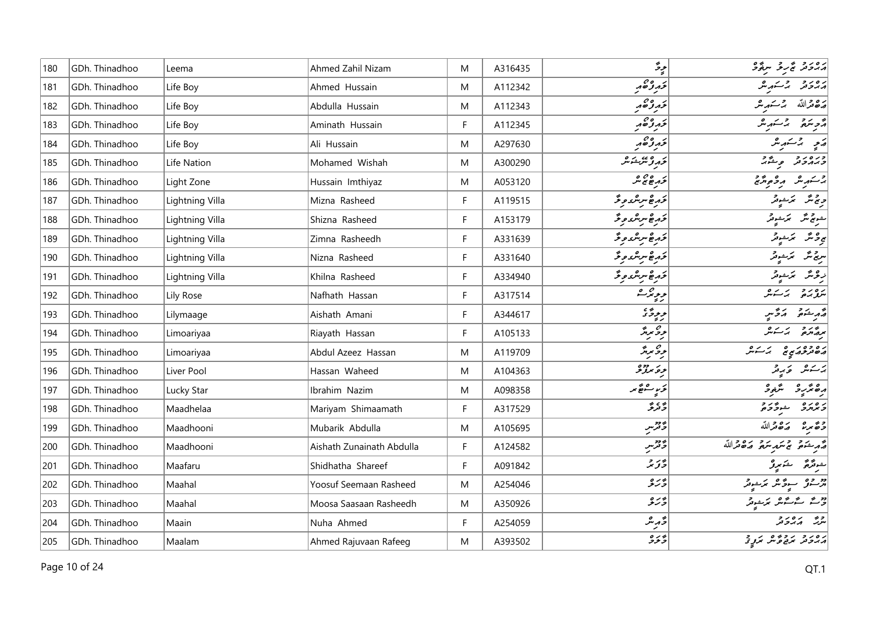| 180 | GDh. Thinadhoo | Leema           | Ahmed Zahil Nizam         | M           | A316435 | مجرشح                     | ەردىيە ئەربى سەئ                                        |
|-----|----------------|-----------------|---------------------------|-------------|---------|---------------------------|---------------------------------------------------------|
| 181 | GDh. Thinadhoo | Life Boy        | Ahmed Hussain             | M           | A112342 | خهروهمر                   | ره رو ورده                                              |
| 182 | GDh. Thinadhoo | Life Boy        | Abdulla Hussain           | M           | A112343 | خدرهمر                    | مەھەراللە جەسكەب                                        |
| 183 | GDh. Thinadhoo | Life Boy        | Aminath Hussain           | F           | A112345 | خهروهمر                   | ومحر ملتقى بالمسكر مثر                                  |
| 184 | GDh. Thinadhoo | Life Boy        | Ali Hussain               | M           | A297630 | خدوګمر                    | ەكىيە ئەسكىرىش                                          |
| 185 | GDh. Thinadhoo | Life Nation     | Mohamed Wishah            | M           | A300290 | اير <mark>وعي ش</mark> مش | ورەرو بەشكە                                             |
| 186 | GDh. Thinadhoo | Light Zone      | Hussain Imthiyaz          | M           | A053120 | جروح ع                    | جسكريثر الرقرمرقر                                       |
| 187 | GDh. Thinadhoo | Lightning Villa | Mizna Rasheed             | F           | A119515 | خەرقخ سرىئىدىرىگە         | <i>دې</i> م تر سمره شوند                                |
| 188 | GDh. Thinadhoo | Lightning Villa | Shizna Rasheed            | F           | A153179 | خەرقچ سرىئىدىرىگە         | <br>  شویخ مگر   امکر شویگر                             |
| 189 | GDh. Thinadhoo | Lightning Villa | Zimna Rasheedh            | $\mathsf F$ | A331639 | خەرقخ سرىئىدىرىگە         | ى ئۇنىڭر بىر شونىر                                      |
| 190 | GDh. Thinadhoo | Lightning Villa | Nizna Rasheed             | F           | A331640 | فرَمرڠ مرىثى وقر          | سرچ مگر - مرکسونر<br>سرچ مگر - مرک                      |
| 191 | GDh. Thinadhoo | Lightning Villa | Khilna Rasheed            | F           | A334940 | خەرقچىرىئىدىرىگە          | رِ وَ مَنْ عَرَ عَبِيدِ مِنْ                            |
| 192 | GDh. Thinadhoo | Lily Rose       | Nafhath Hassan            | F           | A317514 | <del>ر دی</del> ر شه      | برەرد برىكە                                             |
| 193 | GDh. Thinadhoo | Lilymaage       | Aishath Amani             | $\mathsf F$ | A344617 | ووڈ ڈ<br>ر                | ۇرشۇ دۇس                                                |
| 194 | GDh. Thinadhoo | Limoariyaa      | Riayath Hassan            | F           | A105133 | ودكريز                    | برويرو بركاش                                            |
| 195 | GDh. Thinadhoo | Limoariyaa      | Abdul Azeez Hassan        | M           | A119709 | ودكريز                    | גە גיבה <sub>א</sub> ם גבית                             |
| 196 | GDh. Thinadhoo | Liver Pool      | Hassan Waheed             | M           | A104363 | ا پر پر دوه<br>مرکز شر    | برَسك عَ بِرِيْرٌ                                       |
| 197 | GDh. Thinadhoo | Lucky Star      | Ibrahim Nazim             | M           | A098358 | <br> دىرىشقى<br>          | رەئرىر شۆر                                              |
| 198 | GDh. Thinadhoo | Maadhelaa       | Mariyam Shimaamath        | F           | A317529 | ر در در<br>تر تر تر       | وبروه<br>شو <del>گر</del> گرم<br>مر                     |
| 199 | GDh. Thinadhoo | Maadhooni       | Mubarik Abdulla           | M           | A105695 | ۇ دىر سر                  | وصحره وكافرالله                                         |
| 200 | GDh. Thinadhoo | Maadhooni       | Aishath Zunainath Abdulla | F           | A124582 | ۇقۇمىر                    | ومرشؤه بمتمر شعر وكامتنالله                             |
| 201 | GDh. Thinadhoo | Maafaru         | Shidhatha Shareef         | F           | A091842 | و د د<br>و تو بر          | شوترة شريرتى                                            |
| 202 | GDh. Thinadhoo | Maahal          | Yoosuf Seemaan Rasheed    | M           | A254046 | ۇرۇ                       | מי כם הפית ה <sub>שב</sub> ת                            |
| 203 | GDh. Thinadhoo | Maahal          | Moosa Saasaan Rasheedh    | M           | A350926 | ۇرۇ                       | دە مەن ئەسىرى ئەسىر ئەرەپ ئەرەپ<br>ئەسىر ئاسىرىكى ئەسىر |
| 204 | GDh. Thinadhoo | Maain           | Nuha Ahmed                | F           | A254059 | ځېږ شر                    | ورو ده د ور                                             |
| 205 | GDh. Thinadhoo | Maalam          | Ahmed Rajuvaan Rafeeg     | M           | A393502 | ۇنزۇ                      | رەر د روپە مەر چ                                        |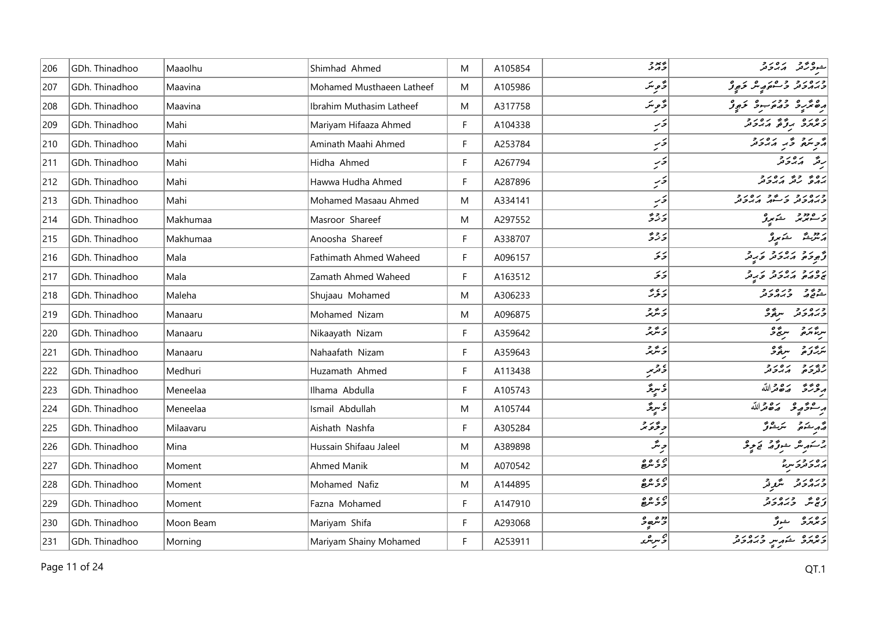| 206 | GDh. Thinadhoo | Maaolhu   | Shimhad Ahmed             | M         | A105854 | پر بر و<br>و پر نو               | شوتر تر بر مرد و                                    |
|-----|----------------|-----------|---------------------------|-----------|---------|----------------------------------|-----------------------------------------------------|
| 207 | GDh. Thinadhoo | Maavina   | Mohamed Musthaeen Latheef | M         | A105986 | ڈوبئر                            | ورەرو وەرپە ئەچ                                     |
| 208 | GDh. Thinadhoo | Maavina   | Ibrahim Muthasim Latheef  | M         | A317758 | قرُحرِ مَدَ                      | رە ئرىد دەۋبىر دەر                                  |
| 209 | GDh. Thinadhoo | Mahi      | Mariyam Hifaaza Ahmed     | F         | A104338 | ځې                               | גם גם הרבה גם גב                                    |
| 210 | GDh. Thinadhoo | Mahi      | Aminath Maahi Ahmed       | F         | A253784 | ځېږ                              | أأوسكم ومراد المرود                                 |
| 211 | GDh. Thinadhoo | Mahi      | Hidha Ahmed               | F         | A267794 | ځېږ                              | رنگ در ژورو                                         |
| 212 | GDh. Thinadhoo | Mahi      | Hawwa Hudha Ahmed         | F         | A287896 | ائربر                            | رەپ دەردە<br>پەرە رىر مەدوىر                        |
| 213 | GDh. Thinadhoo | Mahi      | Mohamed Masaau Ahmed      | M         | A334141 | ځېږ                              | כנסג כ"ג מיני גריב<br>הממכת כ"מ ממכת                |
| 214 | GDh. Thinadhoo | Makhumaa  | Masroor Shareef           | ${\sf M}$ | A297552 | ۇزۇ                              | ر و در در خوری<br>در در خورد خوری<br>در شهر خورد در |
| 215 | GDh. Thinadhoo | Makhumaa  | Anoosha Shareef           | F         | A338707 | ۇزۇ                              |                                                     |
| 216 | GDh. Thinadhoo | Mala      | Fathimath Ahmed Waheed    | F         | A096157 | ترتر                             | و د د د د د د د د                                   |
| 217 | GDh. Thinadhoo | Mala      | Zamath Ahmed Waheed       | F         | A163512 | ترتر                             | ג 2000 נפרד גרי                                     |
| 218 | GDh. Thinadhoo | Maleha    | Shujaau Mohamed           | M         | A306233 | ر ۽ پي                           | و ده و دره د و<br>شونځ په رخ و تر                   |
| 219 | GDh. Thinadhoo | Manaaru   | Mohamed Nizam             | M         | A096875 | ىر شرحه                          | ورەرو سۇۋ                                           |
| 220 | GDh. Thinadhoo | Manaaru   | Nikaayath Nizam           | F         | A359642 | ىر شرحه                          | سرچ و<br>سرىدىقى                                    |
| 221 | GDh. Thinadhoo | Manaaru   | Nahaafath Nizam           | F         | A359643 | ىر بۇرى<br>جەنئىرىمە             | ىر بەر ج<br>سرىر تو بى<br>سرچو                      |
| 222 | GDh. Thinadhoo | Medhuri   | Huzamath Ahmed            | F         | A113438 | وقرمر                            | برور و<br>ح مجر پر ح<br>مرفتر <del>ح</del> ر        |
| 223 | GDh. Thinadhoo | Meneelaa  | Ilhama Abdulla            | F         | A105743 | ى بىرىگە<br>ئ                    | مرمرمز مكافرالله                                    |
| 224 | GDh. Thinadhoo | Meneelaa  | Ismail Abdullah           | M         | A105744 | ى <sub>سرى</sub> تى<br>ئ         | مرحوً موسعة مقابلة                                  |
| 225 | GDh. Thinadhoo | Milaavaru | Aishath Nashfa            | F         | A305284 | حر محرّى تر                      | ر<br>د کار شکوه سرشوگر                              |
| 226 | GDh. Thinadhoo | Mina      | Hussain Shifaau Jaleel    | M         | A389898 | حريثر                            | بر مسكر مشرور و المحافي المحر                       |
| 227 | GDh. Thinadhoo | Moment    | <b>Ahmed Manik</b>        | M         | A070542 | ج و ه ه<br>و و سرچ               | גפגבגה<br>גלב בגבת ה                                |
| 228 | GDh. Thinadhoo | Moment    | Mohamed Nafiz             | ${\sf M}$ | A144895 | 2 ء ه ه<br>  <del>5</del> د سرچ  | ورەرو شرقر                                          |
| 229 | GDh. Thinadhoo | Moment    | Fazna Mohamed             | F         | A147910 | و ء مرچ                          | و رە ر د<br>تر پروتر<br>ۇ ئەشر                      |
| 230 | GDh. Thinadhoo | Moon Beam | Mariyam Shifa             | F         | A293068 | در مهور                          | ر ہ ر ہ<br><del>ر</del> بربرگ<br>شوقر               |
| 231 | GDh. Thinadhoo | Morning   | Mariyam Shainy Mohamed    | F         | A253911 | <sup>9</sup> سرىترى <sub>م</sub> | ו סום באתית כנסוד                                   |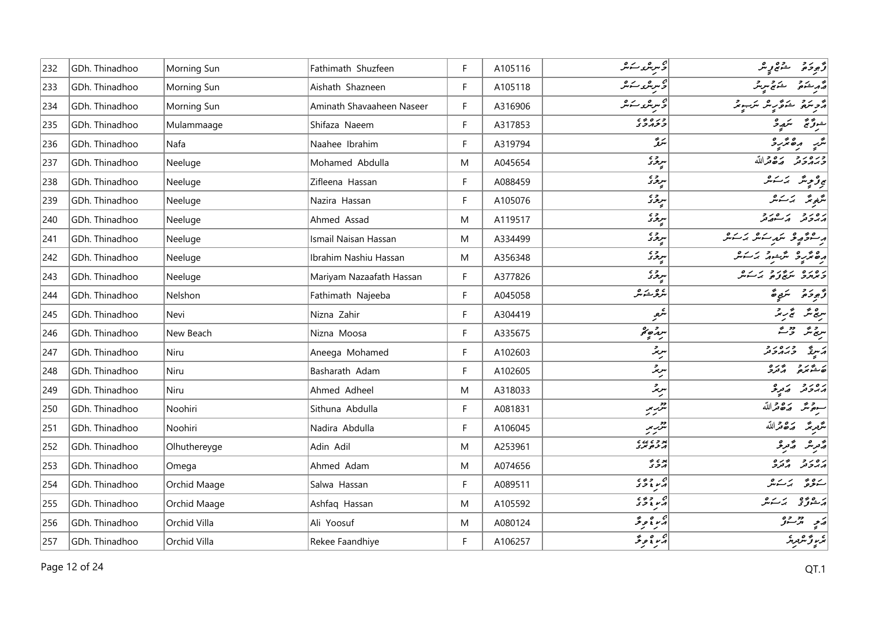| 232 | GDh. Thinadhoo | Morning Sun  | Fathimath Shuzfeen        | F         | A105116 | ئۇ بىر <i>بىرى سەنگ</i> ە        | توجوحو ستوج تو مر                             |
|-----|----------------|--------------|---------------------------|-----------|---------|----------------------------------|-----------------------------------------------|
| 233 | GDh. Thinadhoo | Morning Sun  | Aishath Shazneen          | F         | A105118 | ئۇ س <i>رىئى</i> مەكسىر          | ۇرشۇق شۇقمىرىتر                               |
| 234 | GDh. Thinadhoo | Morning Sun  | Aminath Shavaaheen Naseer | F         | A316906 | ئۇسرىئىمە سەنگە                  |                                               |
| 235 | GDh. Thinadhoo | Mulammaage   | Shifaza Naeem             | F         | A317853 | و ره و »<br>د <del>و</del> د د د | خودمج الكهرمي                                 |
| 236 | GDh. Thinadhoo | Nafa         | Naahee Ibrahim            | F         | A319794 | سروٌ                             |                                               |
| 237 | GDh. Thinadhoo | Neeluge      | Mohamed Abdulla           | M         | A045654 | ىرو،<br>ئە                       | ورەرو دەرلە                                   |
| 238 | GDh. Thinadhoo | Neeluge      | Zifleena Hassan           | F         | A088459 | ىرو،<br>ئە                       | يوقويتر   برسكتر                              |
| 239 | GDh. Thinadhoo | Neeluge      | Nazira Hassan             | F         | A105076 | سرچري                            | شَعِيمٌ - يَرَسَمْر                           |
| 240 | GDh. Thinadhoo | Neeluge      | Ahmed Assad               | ${\sf M}$ | A119517 | سرچري<br>په                      | גפגב גםגב<br>הגבע הביהיב                      |
| 241 | GDh. Thinadhoo | Neeluge      | Ismail Naisan Hassan      | M         | A334499 | سرپری                            | رەۋر ئىرىكى ئىكى                              |
| 242 | GDh. Thinadhoo | Neeluge      | Ibrahim Nashiu Hassan     | M         | A356348 | سرچري                            | مەھكەر ئىشرىم بەسكىر                          |
| 243 | GDh. Thinadhoo | Neeluge      | Mariyam Nazaafath Hassan  | F         | A377826 | سرو ۽<br>پ                       | رەرە بەددە بەر                                |
| 244 | GDh. Thinadhoo | Nelshon      | Fathimath Najeeba         | F         | A045058 | <u>، و د ک</u> ر هر              | تزود منبيءً                                   |
| 245 | GDh. Thinadhoo | Nevi         | Nizna Zahir               | F         | A304419 | شعرِ                             | سرچ مگر گچ سرچر                               |
| 246 | GDh. Thinadhoo | New Beach    | Nizna Moosa               | F         | A335675 | سرړځي<br>په                      | دومع<br> سرچ مثر                              |
| 247 | GDh. Thinadhoo | Niru         | Aneega Mohamed            | F         | A102603 | سریڑ                             | و ره ر و<br><i>د ب</i> رگرفر<br>لئرسيقحه      |
| 248 | GDh. Thinadhoo | Niru         | Basharath Adam            | F         | A102605 | سرچر                             | ر در دره<br>ت <i>خش</i> تره م <sup>و</sup> رد |
| 249 | GDh. Thinadhoo | Niru         | Ahmed Adheel              | M         | A318033 | سرچر                             | أرور و أربو                                   |
| 250 | GDh. Thinadhoo | Noohiri      | Sithuna Abdulla           | F         | A081831 | دد<br>متزر سر                    | سومة رَحْمَداللّه                             |
| 251 | GDh. Thinadhoo | Noohiri      | Nadira Abdulla            | F         | A106045 | متزبر بر<br>سربر                 | ىترىرىتر<br>ەھىراللە                          |
| 252 | GDh. Thinadhoo | Olhuthereyge | Adin Adil                 | ${\sf M}$ | A253961 | پر و ی دی ی<br>در نوحو مور       | ە ئىر ئىش ئە ئىرقى                            |
| 253 | GDh. Thinadhoo | Omega        | Ahmed Adam                | ${\sf M}$ | A074656 | 551                              | ر 2 ر 1<br>م.ر 5 تر<br>پور ہ<br>مرکزو         |
| 254 | GDh. Thinadhoo | Orchid Maage | Salwa Hassan              | F         | A089511 |                                  | سەۋۇ<br>برسەمىر                               |
| 255 | GDh. Thinadhoo | Orchid Maage | Ashfaq Hassan             | M         | A105592 |                                  | ە شۇرقى ئەسەنلە                               |
| 256 | GDh. Thinadhoo | Orchid Villa | Ali Yoosuf                | M         | A080124 | لأسوء وقر                        | أەيبىي مەستىر                                 |
| 257 | GDh. Thinadhoo | Orchid Villa | Rekee Faandhiye           | F         | A106257 | ەر بە ئوقر                       | ى بەر ئەھرىر<br>ئىرىيە ئەھرىر                 |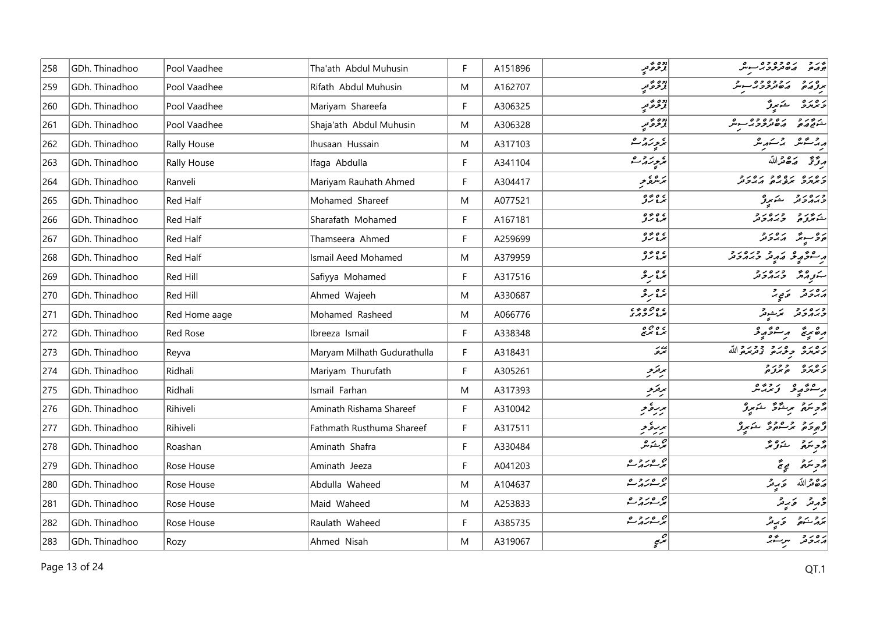| 258 | GDh. Thinadhoo | Pool Vaadhee    | Tha'ath Abdul Muhusin       | F  | A151896 | ده ه پر<br>  زمره مړ                     | در ده ده ده ده .<br>جمه ده مورد د ب                                        |
|-----|----------------|-----------------|-----------------------------|----|---------|------------------------------------------|----------------------------------------------------------------------------|
| 259 | GDh. Thinadhoo | Pool Vaadhee    | Rifath Abdul Muhusin        | M  | A162707 | ده و د<br>  ز تره در                     | ر ۲۰۰ د دوه وه مر<br>مروزه د مورد د                                        |
| 260 | GDh. Thinadhoo | Pool Vaadhee    | Mariyam Shareefa            | F. | A306325 | ده و د<br>  ز تره در                     | دەرە خىرۇ                                                                  |
| 261 | GDh. Thinadhoo | Pool Vaadhee    | Shaja'ath Abdul Muhusin     | M  | A306328 | ده و د<br>  ز ژوگور                      | ر در دره ده ده ده به در در در استان کرد.<br>مشوقه در در هاند بر در در سوسر |
| 262 | GDh. Thinadhoo | Rally House     | Ihusaan Hussain             | M  | A317103 | ا پر پر بر دی <sub>.</sub><br>انگرچریر ک | مەئەشكىر بەسىمبەش                                                          |
| 263 | GDh. Thinadhoo | Rally House     | Ifaga Abdulla               | F  | A341104 | ى <sub>گىرىم</sub> ر 2 گ                 | مرتزقته وكاله كالله                                                        |
| 264 | GDh. Thinadhoo | Ranveli         | Mariyam Rauhath Ahmed       | F  | A304417 | برءء                                     | נסנס נספר נסנר<br>כמתכ מפנים הנכת                                          |
| 265 | GDh. Thinadhoo | Red Half        | Mohamed Shareef             | M  | A077521 | ړه ۶ وه<br>مرغ گرنو                      | ورەرو شەرۇ                                                                 |
| 266 | GDh. Thinadhoo | <b>Red Half</b> | Sharafath Mohamed           | F  | A167181 | ، ە ە بە ە<br>ئىر يا ئىرتى               | شهرد وره رو<br>شهروه وبردونر                                               |
| 267 | GDh. Thinadhoo | Red Half        | Thamseera Ahmed             | F. | A259699 | ، ه و و ه<br>مر ډ گر                     | د و ب په ۲۶۲۶ ک                                                            |
| 268 | GDh. Thinadhoo | Red Half        | Ismail Aeed Mohamed         | M  | A379959 | ه ه ه ه ه<br>مو ډېمونو                   | ג פיציק ב הקיב כמחכת                                                       |
| 269 | GDh. Thinadhoo | Red Hill        | Safiyya Mohamed             | F. | A317516 | ه ه د و<br>مرو ر                         | התנהל בגםנים                                                               |
| 270 | GDh. Thinadhoo | Red Hill        | Ahmed Wajeeh                | M  | A330687 | ې ه بر د<br>مرغ سر                       | د ۱۵ د مې چه کال                                                           |
| 271 | GDh. Thinadhoo | Red Home aage   | Mohamed Rasheed             | M  | A066776 | ، ه ۵ ۵ ۵ و<br>بو ډ ر ۳ د د              | ورەر ئەرشوتە                                                               |
| 272 | GDh. Thinadhoo | Red Rose        | Ibreeza Ismail              | F  | A338348 | ړ ه 0 ه<br>مرغ مربع                      | أرصية وصحيح                                                                |
| 273 | GDh. Thinadhoo | Reyva           | Maryam Milhath Gudurathulla | F  | A318431 | یں پر<br>مجرحہ                           | ره ره و و د و و د و الله                                                   |
| 274 | GDh. Thinadhoo | Ridhali         | Mariyam Thurufath           | F. | A305261 | برتزمر                                   | ر ه ر ه د د د<br>تر بر ر ه برو ه                                           |
| 275 | GDh. Thinadhoo | Ridhali         | Ismail Farhan               | M  | A317393 | برتزمر                                   | ر عۇرپۇ كەيرىگە                                                            |
| 276 | GDh. Thinadhoo | Rihiveli        | Aminath Rishama Shareef     | F. | A310042 | ىررى<br>ئرىر قىمىز                       | أأولكم للمستكر المستمر                                                     |
| 277 | GDh. Thinadhoo | Rihiveli        | Fathmath Rusthuma Shareef   | F  | A317511 | ىرر <sub>ئ</sub> ىجى<br>مەركى            | و دو و ووه در و.<br>ژوده بر موځ شرېږو                                      |
| 278 | GDh. Thinadhoo | Roashan         | Aminath Shafra              | F  | A330484 | ترىئەنگە                                 | ړې سره شووند                                                               |
| 279 | GDh. Thinadhoo | Rose House      | Aminath Jeeza               | F  | A041203 | ە يەر دەپ                                | أثرم تمريح ويح                                                             |
| 280 | GDh. Thinadhoo | Rose House      | Abdulla Waheed              | M  | A104637 | ەر مەر <i>جە</i>                         | ەھىراللە<br>ءَ ٻريمر                                                       |
| 281 | GDh. Thinadhoo | Rose House      | Maid Waheed                 | M  | A253833 | ە يەر دەپ                                | وحمد والمحامد وتر                                                          |
| 282 | GDh. Thinadhoo | Rose House      | Raulath Waheed              | F  | A385735 | ەر مەر <i>جە</i> ر                       | ر د در د<br>برد خود کورند                                                  |
| 283 | GDh. Thinadhoo | Rozy            | Ahmed Nisah                 | M  | A319067 | جميح                                     | أرەر دىرگە                                                                 |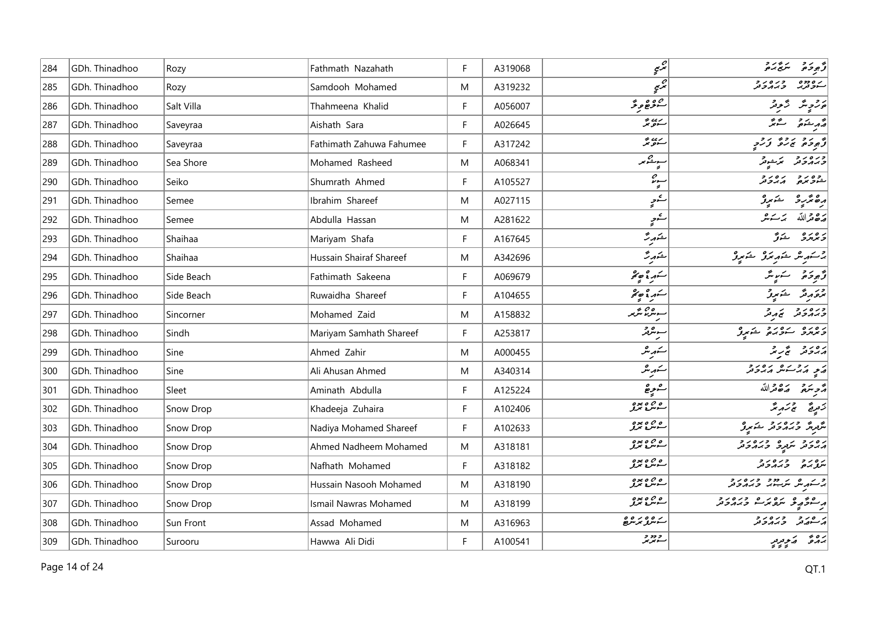| 284 | GDh. Thinadhoo | Rozy       | Fathmath Nazahath        | F  | A319068 | احيي                        | أقبورة شرورة                                                                                              |
|-----|----------------|------------|--------------------------|----|---------|-----------------------------|-----------------------------------------------------------------------------------------------------------|
| 285 | GDh. Thinadhoo | Rozy       | Samdooh Mohamed          | M  | A319232 | اچې                         | ر ه دده<br>سوو تور<br>و ر ه ر و<br><i>و پر</i> و تر                                                       |
| 286 | GDh. Thinadhoo | Salt Villa | Thahmeena Khalid         | F  | A056007 | <u>موء وءَ</u>              | أترقر يثمر المتحوفر                                                                                       |
| 287 | GDh. Thinadhoo | Saveyraa   | Aishath Sara             | F. | A026645 | ر ن پر<br>سوح بو            | ۇرىشقى سىتىر                                                                                              |
| 288 | GDh. Thinadhoo | Saveyraa   | Fathimath Zahuwa Fahumee | F  | A317242 | ر ، ،<br>سنوچ               | توجده برده ترزح                                                                                           |
| 289 | GDh. Thinadhoo | Sea Shore  | Mohamed Rasheed          | M  | A068341 | اب چیمبر<br>مح              | وره رو کرشونر<br>وبردونر کرشونر                                                                           |
| 290 | GDh. Thinadhoo | Seiko      | Shumrath Ahmed           | F  | A105527 | $rac{c}{\sqrt{2}}$          | وه رو ده رو<br>شو <i>و بو</i> بر برا                                                                      |
| 291 | GDh. Thinadhoo | Semee      | Ibrahim Shareef          | M  | A027115 | يحمو                        | رەت <sub>ىرىد</sub> ە ش <sub>ىرى</sub> ۋ                                                                  |
| 292 | GDh. Thinadhoo | Semee      | Abdulla Hassan           | M  | A281622 | سكوحي                       | برە تراللە<br>برسەنگە                                                                                     |
| 293 | GDh. Thinadhoo | Shaihaa    | Mariyam Shafa            | F  | A167645 | ڪورٿ                        | ترەرە شۇگ                                                                                                 |
| 294 | GDh. Thinadhoo | Shaihaa    | Hussain Shairaf Shareef  | M  | A342696 | ڪورگ                        | رج سكر بكر مكر يكر كور مكر كور كر بالمحر و بالمحر بالمحر بالمحر بالمحر بالمحر بالمحر بالمحر بالمحر بالمحر |
| 295 | GDh. Thinadhoo | Side Beach | Fathimath Sakeena        | F. | A069679 | سەر جەمھ                    | ڙوچو سُرسڙ                                                                                                |
| 296 | GDh. Thinadhoo | Side Beach | Ruwaidha Shareef         | F  | A104655 | سەر ؟ ھەمچ                  | بمقهرة المشهرة                                                                                            |
| 297 | GDh. Thinadhoo | Sincorner  | Mohamed Zaid             | M  | A158832 | ۔<br>۔میرنا میٹر پر         | כנים בי הנית                                                                                              |
| 298 | GDh. Thinadhoo | Sindh      | Mariyam Samhath Shareef  | F  | A253817 | ۔ مگرفر                     | رەرە رەرد شەرد                                                                                            |
| 299 | GDh. Thinadhoo | Sine       | Ahmed Zahir              | M  | A000455 | سەرىتر                      | ره رو پر د<br>مدد در سمبر                                                                                 |
| 300 | GDh. Thinadhoo | Sine       | Ali Ahusan Ahmed         | M  | A340314 | سەرىتر                      | كمجمع كمركز متراكب ورواح                                                                                  |
| 301 | GDh. Thinadhoo | Sleet      | Aminath Abdulla          | F  | A125224 | سكورة                       | مُحْرِسَهُمْ مُهَ صْلَاللّه                                                                               |
| 302 | GDh. Thinadhoo | Snow Drop  | Khadeeja Zuhaira         | F. | A102406 | <u>ه جوه بيوه</u>           | تزمريح بمرتمر                                                                                             |
| 303 | GDh. Thinadhoo | Snow Drop  | Nadiya Mohamed Shareef   | F. | A102633 | ه ۵ ه موه<br>سرمبر و مور    | شريد ورەرو خىرو                                                                                           |
| 304 | GDh. Thinadhoo | Snow Drop  | Ahmed Nadheem Mohamed    | M  | A318181 | ه ۵ ه موه<br>سرمانو نمربر   | גפגב <sub>י</sub> ת <sub>אק</sub> פ בגבבת                                                                 |
| 305 | GDh. Thinadhoo | Snow Drop  | Nafhath Mohamed          | F  | A318182 | ه ۵ ه موه<br>سرمبر و موړ    | ره رو دره رو<br>سرزره وبردونر                                                                             |
| 306 | GDh. Thinadhoo | Snow Drop  | Hussain Nasooh Mohamed   | M  | A318190 | <u>ه ۶</u> ه بره<br>سرمند و | و کرمر شر دو و در ۲۵ در و                                                                                 |
| 307 | GDh. Thinadhoo | Snow Drop  | Ismail Nawras Mohamed    | M  | A318199 | ه ۵ و موه<br>سرمبر و مور    | ر مشرور ده در ۲۵۷۵ در د                                                                                   |
| 308 | GDh. Thinadhoo | Sun Front  | Assad Mohamed            | M  | A316963 | ر ۵ <i>۵ د</i> ۵۵           | ג פינ כנסגב<br>ג' המינג בגמבינ                                                                            |
| 309 | GDh. Thinadhoo | Surooru    | Hawwa Ali Didi           | F  | A100541 | د دو د<br>سومرس             | ره و گرورو<br>  پرکرو گرورو                                                                               |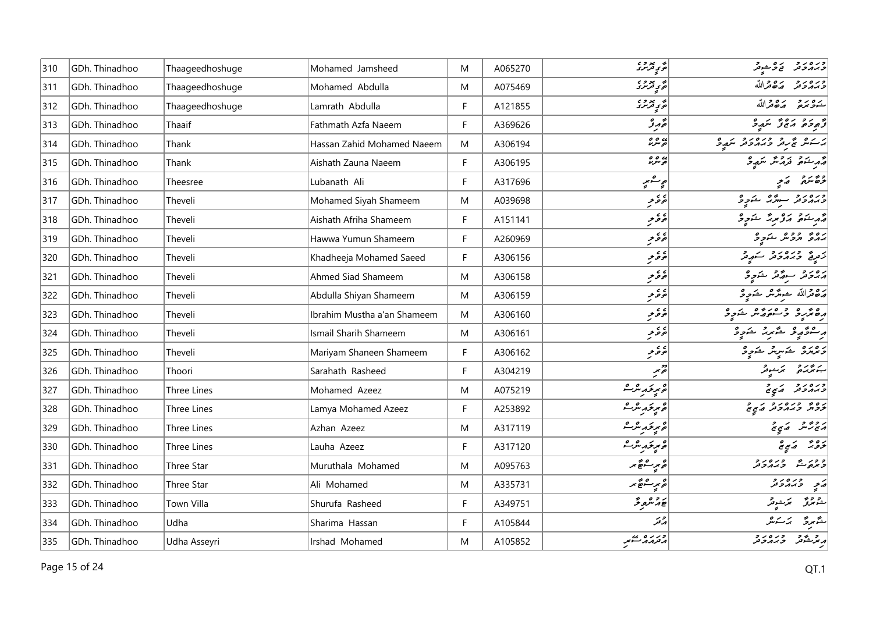| 310 | GDh. Thinadhoo | Thaageedhoshuge    | Mohamed Jamsheed            | M           | A065270 | ا په سور د ،<br>موږ تر سر د  | ورەرو رەئيوتر                                        |
|-----|----------------|--------------------|-----------------------------|-------------|---------|------------------------------|------------------------------------------------------|
| 311 | GDh. Thinadhoo | Thaageedhoshuge    | Mohamed Abdulla             | M           | A075469 | پر پودې<br>  هم په مرد       | ورەرو رەقراللە                                       |
| 312 | GDh. Thinadhoo | Thaageedhoshuge    | Lamrath Abdulla             | F           | A121855 | په پوو ،<br>د کوتر تر ک      | يحرمره مكافرالله                                     |
| 313 | GDh. Thinadhoo | Thaaif             | Fathmath Azfa Naeem         | F           | A369626 | ء<br>مومو                    | وجي ده ده و سمده                                     |
| 314 | GDh. Thinadhoo | Thank              | Hassan Zahid Mohamed Naeem  | M           | A306194 | ړه ه ه<br>حوس                | يُرَ يُمَسُ لِجُ رِوْ وَيَا وَيَا وَ لَهُ اللَّهِ وَ |
| 315 | GDh. Thinadhoo | Thank              | Aishath Zauna Naeem         | F           | A306195 | ړه ه<br>حوسربر               | و المستوفى فرام من مكروث                             |
| 316 | GDh. Thinadhoo | Theesree           | Lubanath Ali                | F           | A317696 | موڪمبر<br>تو                 | وەيرو كې                                             |
| 317 | GDh. Thinadhoo | Theveli            | Mohamed Siyah Shameem       | M           | A039698 | ەءىر                         | وره د و سرگر شکوری                                   |
| 318 | GDh. Thinadhoo | Theveli            | Aishath Afriha Shameem      | $\mathsf F$ | A151141 | ه ء<br>حوحومو                | وأرشكتم وكالمراكب المكوفة                            |
| 319 | GDh. Thinadhoo | Theveli            | Hawwa Yumun Shameem         | $\mathsf F$ | A260969 | ەءىر                         | رەپ دوھ شەرو                                         |
| 320 | GDh. Thinadhoo | Theveli            | Khadheeja Mohamed Saeed     | F           | A306156 | ەءىر                         | زىرە درەرد رەر                                       |
| 321 | GDh. Thinadhoo | Theveli            | Ahmed Siad Shameem          | M           | A306158 | ءء                           | أرور و سورتر ځوچ                                     |
| 322 | GDh. Thinadhoo | Theveli            | Abdulla Shiyan Shameem      | Μ           | A306159 | ه ه ه مو<br> حوظر مو         | ح صحرالله خومره عن و ح                               |
| 323 | GDh. Thinadhoo | Theveli            | Ibrahim Mustha a'an Shameem | Μ           | A306160 | ء ۽<br>موھو                  |                                                      |
| 324 | GDh. Thinadhoo | Theveli            | Ismail Sharih Shameem       | M           | A306161 | ه ء<br>حوحومو                | ر مو د د مورد مود و                                  |
| 325 | GDh. Thinadhoo | Theveli            | Mariyam Shaneen Shameem     | F           | A306162 | ه ء<br>حوحومو                | ره ره شور شوده                                       |
| 326 | GDh. Thinadhoo | Thoori             | Sarahath Rasheed            | F.          | A304219 | دد<br>حوسر                   | سكانور والمتحر المتحر وتر                            |
| 327 | GDh. Thinadhoo | Three Lines        | Mohamed Azeez               | M           | A075219 | ە بىر <i>خ</i> ەر بىرىشە     | ورورد كميء                                           |
| 328 | GDh. Thinadhoo | <b>Three Lines</b> | Lamya Mohamed Azeez         | F.          | A253892 | ە بېرى <i>خەر</i> بىرىشە     | גם בנסגב גב<br>בכת כממכת באש                         |
| 329 | GDh. Thinadhoo | Three Lines        | Azhan Azeez                 | M           | A317119 | ە بېرى <i>خەر</i> بىرىشە     | ە ئەرەپىر بەر ئە                                     |
| 330 | GDh. Thinadhoo | Three Lines        | Lauha Azeez                 | F           | A317120 | ە بېرى <i>خەر</i> بىرىشە     | كروثه كالميء                                         |
| 331 | GDh. Thinadhoo | Three Star         | Muruthala Mohamed           | M           | A095763 | هو بير شوځ بر                | وور به وره دو                                        |
| 332 | GDh. Thinadhoo | Three Star         | Ali Mohamed                 | M           | A335731 | م <sub>وسی</sub> ر مقیمہ<br> | دو دره دو                                            |
| 333 | GDh. Thinadhoo | <b>Town Villa</b>  | Shurufa Rasheed             | F           | A349751 | ىز قرى <i>مۇ</i> ئى          | الشريرو كراميرور<br>المستوفر                         |
| 334 | GDh. Thinadhoo | Udha               | Sharima Hassan              | F           | A105844 | پر تر                        | شۇپرۇ    ياسكىر                                      |
| 335 | GDh. Thinadhoo | Udha Asseyri       | Irshad Mohamed              | M           | A105852 | د ربره عب <sub>ر</sub>       | د عرشور وره د و<br>د عرشوگر او چرکرونر               |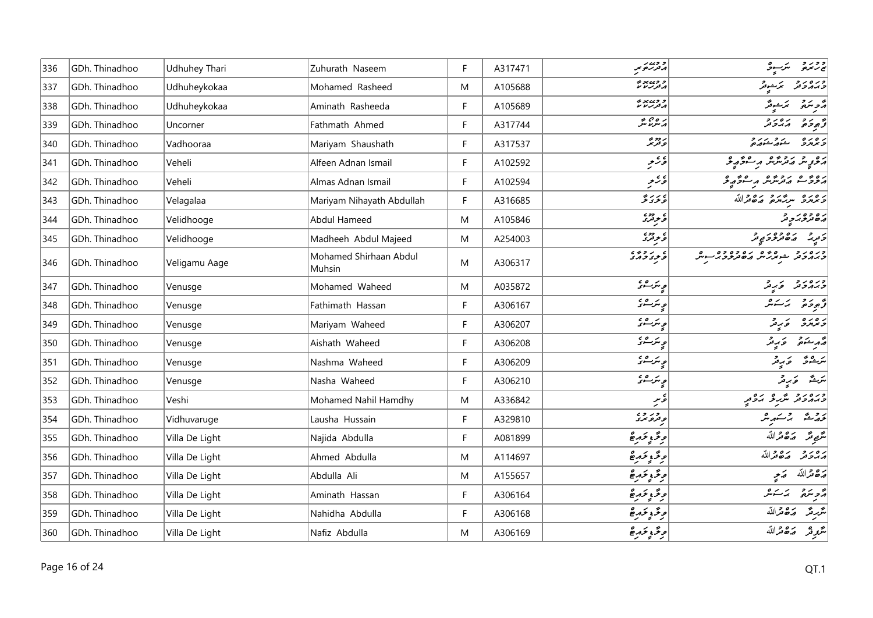| 336 | GDh. Thinadhoo | <b>Udhuhey Thari</b> | Zuhurath Naseem                  | E           | A317471 | د وړ، ر<br>پر توريخ مر                        | د د بر د<br>مح ر <del>ب</del> ر د<br>ىئرسەۋ                           |
|-----|----------------|----------------------|----------------------------------|-------------|---------|-----------------------------------------------|-----------------------------------------------------------------------|
| 337 | GDh. Thinadhoo | Udhuheykokaa         | Mohamed Rasheed                  | M           | A105688 | و وړی پوځ<br>پر لار د کا                      | و ره ر و<br><i>و پر</i> و تر<br>بخرشدقر                               |
| 338 | GDh. Thinadhoo | Udhuheykokaa         | Aminath Rasheeda                 | F           | A105689 | و وړي پوځ<br>پر تور ر                         | أثر حريره<br>بمرشوقر                                                  |
| 339 | GDh. Thinadhoo | Uncorner             | Fathmath Ahmed                   | F           | A317744 | ىر ەم بىر<br>مەسرىيا سىر                      | بر ٥ پر و<br>م <i>ر</i> بر <del>و</del> تر<br>وٌجوحَ حو               |
| 340 | GDh. Thinadhoo | Vadhooraa            | Mariyam Shaushath                | F           | A317537 | ر دو پر<br>ح <sup>5</sup> مر پر               | ر ه ر ه<br><del>د</del> بربرگر<br>ے پر 2 مرکز 2<br>مشترکہ شہران       |
| 341 | GDh. Thinadhoo | Veheli               | Alfeen Adnan Ismail              | F           | A102592 |                                               | ג' צ' ג' ג' ג' ג' ג' ג' ג' ג' ג' ג' ג' ג'                             |
| 342 | GDh. Thinadhoo | Veheli               | Almas Adnan Ismail               | F           | A102594 | ءيج                                           | ره ده در دوره مرسوم و                                                 |
| 343 | GDh. Thinadhoo | Velagalaa            | Mariyam Nihayath Abdullah        | F           | A316685 | ە ئەترىپى<br>ھايترى ئى                        | و مره سرگرد و دورالله                                                 |
| 344 | GDh. Thinadhoo | Velidhooge           | Abdul Hameed                     | M           | A105846 | ه وده<br>د عرفری                              | ر ه د و ر<br>م ه مرو بر د مر                                          |
| 345 | GDh. Thinadhoo | Velidhooge           | Madheeh Abdul Majeed             | M           | A254003 | ه وده<br>د عرفری                              | ر در ده وور د د                                                       |
| 346 | GDh. Thinadhoo | Veligamu Aage        | Mohamed Shirhaan Abdul<br>Muhsin | M           | A306317 | ې پر د وي<br>مرکز څه د                        | ورەروبە ھەم رەۋە دەپ<br><i>ويەم</i> ونر شېرىرىش مەھەر <i>بوچى</i> سىش |
| 347 | GDh. Thinadhoo | Venusge              | Mohamed Waheed                   | M           | A035872 | اءٍ پرَتَّنُو                                 | ورەر دىر د                                                            |
| 348 | GDh. Thinadhoo | Venusge              | Fathimath Hassan                 | F           | A306167 | وپئرسوي                                       | ۇ بوز ۋ                                                               |
| 349 | GDh. Thinadhoo | Venusge              | Mariyam Waheed                   | F           | A306207 | وپئرسوی                                       | رەرە رېر                                                              |
| 350 | GDh. Thinadhoo | Venusge              | Aishath Waheed                   | F           | A306208 | اءٍ پرَتَّبُو                                 | مەرشىقى كۆپەتر                                                        |
| 351 | GDh. Thinadhoo | Venusge              | Nashma Waheed                    | $\mathsf F$ | A306209 | <sub>حو</sub> مترے د                          | أَسْرَشُوشُ وَرِيْرُ                                                  |
| 352 | GDh. Thinadhoo | Venusge              | Nasha Waheed                     | F           | A306210 | <sub>حو</sub> مترے تح                         | سَرَحْتُمْ - حَرِيْرٌ                                                 |
| 353 | GDh. Thinadhoo | Veshi                | Mohamed Nahil Hamdhy             | M           | A336842 | ء<br>حوسر                                     | ورەرو شرق ئەۋىر                                                       |
| 354 | GDh. Thinadhoo | Vidhuvaruge          | Lausha Hussain                   | F           | A329810 | و د و ء<br>ج <sup>و</sup> ر و بر <sub>ک</sub> | لحرم شكر جر سكور مثل                                                  |
| 355 | GDh. Thinadhoo | Villa De Light       | Najida Abdulla                   | F           | A081899 | وقربوجرء                                      | مثرم <i>قرقة مت</i> صر الله                                           |
| 356 | GDh. Thinadhoo | Villa De Light       | Ahmed Abdulla                    | M           | A114697 | وقرو بخبره                                    | برورد بره قرالله                                                      |
| 357 | GDh. Thinadhoo | Villa De Light       | Abdulla Ali                      | M           | A155657 | وقحو خرمره                                    | برة والله برَمِ                                                       |
| 358 | GDh. Thinadhoo | Villa De Light       | Aminath Hassan                   | F           | A306164 | وقحو خرمره                                    | أأزويتهم برسكتر                                                       |
| 359 | GDh. Thinadhoo | Villa De Light       | Nahidha Abdulla                  | F           | A306168 | وقروخهره                                      | ىتزىرىتر<br>ەھىراللە                                                  |
| 360 | GDh. Thinadhoo | Villa De Light       | Nafiz Abdulla                    | M           | A306169 | وقرو بخرموهج                                  | <i>سَّعْدِ مَنْ</i> صَحْرَاللَّه                                      |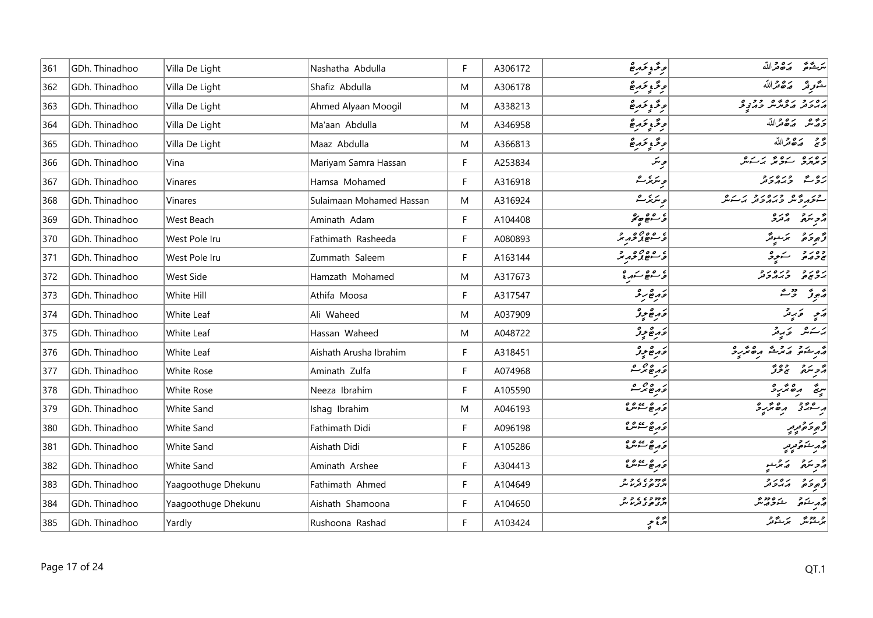| 361 | GDh. Thinadhoo | Villa De Light      | Nashatha Abdulla         | F. | A306172 | وقرو بخرمره                                                                                                                                                                                                                                                                                                                                                                                                                                                                                                  | سَرَحْتُمُّ مَرْهُ قَرَاللَّهُ                |
|-----|----------------|---------------------|--------------------------|----|---------|--------------------------------------------------------------------------------------------------------------------------------------------------------------------------------------------------------------------------------------------------------------------------------------------------------------------------------------------------------------------------------------------------------------------------------------------------------------------------------------------------------------|-----------------------------------------------|
| 362 | GDh. Thinadhoo | Villa De Light      | Shafiz Abdulla           | M  | A306178 | وقحوخره                                                                                                                                                                                                                                                                                                                                                                                                                                                                                                      | شگوپور كەھەراللە                              |
| 363 | GDh. Thinadhoo | Villa De Light      | Ahmed Alyaan Moogil      | M  | A338213 | وقحوخره                                                                                                                                                                                                                                                                                                                                                                                                                                                                                                      | رەر د رەپەر دور و                             |
| 364 | GDh. Thinadhoo | Villa De Light      | Ma'aan Abdulla           | M  | A346958 | وقروخهره                                                                                                                                                                                                                                                                                                                                                                                                                                                                                                     | ترصص مكافرالله                                |
| 365 | GDh. Thinadhoo | Villa De Light      | Maaz Abdulla             | M  | A366813 | وقروخهره                                                                                                                                                                                                                                                                                                                                                                                                                                                                                                     | دسم م <i>م ه</i> م الله                       |
| 366 | GDh. Thinadhoo | Vina                | Mariyam Samra Hassan     | F  | A253834 | ە بىر                                                                                                                                                                                                                                                                                                                                                                                                                                                                                                        | رەرە بەەبۇ بەسەر                              |
| 367 | GDh. Thinadhoo | Vinares             | Hamsa Mohamed            | F  | A316918 | <sub>ع</sub> سر پر م                                                                                                                                                                                                                                                                                                                                                                                                                                                                                         | و ره ر و<br>تر <i>پر</i> وتر<br>رَوْبَةُ      |
| 368 | GDh. Thinadhoo | Vinares             | Sulaimaan Mohamed Hassan | M  | A316924 | ە ئىرىئەپ                                                                                                                                                                                                                                                                                                                                                                                                                                                                                                    | در ده دره در در و.<br>سرگرفتر وبرماور برستنگر |
| 369 | GDh. Thinadhoo | West Beach          | Aminath Adam             | F  | A104408 | وكسفوكم                                                                                                                                                                                                                                                                                                                                                                                                                                                                                                      | أروبترة<br>ە ئەترى                            |
| 370 | GDh. Thinadhoo | West Pole Iru       | Fathimath Rasheeda       | F. | A080893 | ړ وه ۵ ۵ و په د                                                                                                                                                                                                                                                                                                                                                                                                                                                                                              | ۇ بوزىر<br>كرشوقر                             |
| 371 | GDh. Thinadhoo | West Pole Iru       | Zummath Saleem           | F. | A163144 | ړ ه ه ۵ ه مر<br>و سومونو مر                                                                                                                                                                                                                                                                                                                                                                                                                                                                                  | 3 مەم<br>ئ<br>سەرد                            |
| 372 | GDh. Thinadhoo | West Side           | Hamzath Mohamed          | M  | A317673 | وكسقط ستهرع                                                                                                                                                                                                                                                                                                                                                                                                                                                                                                  | بر و بر د<br>بر د ښم<br>و رە ر د<br>تر پروتر  |
| 373 | GDh. Thinadhoo | White Hill          | Athifa Moosa             | F  | A317547 | ءَ ٻه ڇاپائه                                                                                                                                                                                                                                                                                                                                                                                                                                                                                                 | دريجه<br>ة وڙ                                 |
| 374 | GDh. Thinadhoo | White Leaf          | Ali Waheed               | M  | A037909 | ورء يور                                                                                                                                                                                                                                                                                                                                                                                                                                                                                                      | أەكىيە ئەرىتىلى                               |
| 375 | GDh. Thinadhoo | White Leaf          | Hassan Waheed            | M  | A048722 | ءَ <sub>مر</sub> ھ <sub>مح</sub> ور                                                                                                                                                                                                                                                                                                                                                                                                                                                                          | ر سەھرىقى ئەرى <i>ق</i> ر                     |
| 376 | GDh. Thinadhoo | White Leaf          | Aishath Arusha Ibrahim   | F. | A318451 | دَرِءِ بِرِدْ                                                                                                                                                                                                                                                                                                                                                                                                                                                                                                | د.<br>در شوه دیر شوه موسره                    |
| 377 | GDh. Thinadhoo | White Rose          | Aminath Zulfa            | F. | A074968 | $\begin{array}{ c } \hline \hline \end{array} \begin{array}{ c } \hline \end{array} \begin{array}{ c } \hline \end{array} \begin{array}{ c } \hline \end{array} \begin{array}{ c } \hline \end{array} \begin{array}{ c } \hline \end{array} \begin{array}{ c } \hline \end{array} \begin{array}{ c } \hline \end{array} \begin{array}{ c } \hline \end{array} \begin{array}{ c } \hline \end{array} \begin{array}{ c } \hline \end{array} \begin{array}{ c } \hline \end{array} \begin{array}{ c } \hline \$ | أأروسكم فلتحرج                                |
| 378 | GDh. Thinadhoo | White Rose          | Neeza Ibrahim            | F  | A105590 | ر ه ۵ م.<br><i>و د ه</i> برگ                                                                                                                                                                                                                                                                                                                                                                                                                                                                                 |                                               |
| 379 | GDh. Thinadhoo | <b>White Sand</b>   | Ishag Ibrahim            | M  | A046193 | ئەرەپ يە ۋە                                                                                                                                                                                                                                                                                                                                                                                                                                                                                                  | اربه مجيحة<br>ەرھەترىر <sup>ى</sup>           |
| 380 | GDh. Thinadhoo | <b>White Sand</b>   | Fathimath Didi           | F  | A096198 | وروسين                                                                                                                                                                                                                                                                                                                                                                                                                                                                                                       | و<br>ترج تر تر تو تو تو                       |
| 381 | GDh. Thinadhoo | <b>White Sand</b>   | Aishath Didi             | F  | A105286 | ئەرق شەھرە                                                                                                                                                                                                                                                                                                                                                                                                                                                                                                   | ر<br>په کر ڪو تو تو تو                        |
| 382 | GDh. Thinadhoo | <b>White Sand</b>   | Aminath Arshee           | F  | A304413 | وروعة                                                                                                                                                                                                                                                                                                                                                                                                                                                                                                        | ومسترد وكالمرسو                               |
| 383 | GDh. Thinadhoo | Yaagoothuge Dhekunu | Fathimath Ahmed          | F  | A104649 | به دد و د د د<br>افری هری تعریم س                                                                                                                                                                                                                                                                                                                                                                                                                                                                            | پرور و<br>ۇ بوز ئ                             |
| 384 | GDh. Thinadhoo | Yaagoothuge Dhekunu | Aishath Shamoona         | F. | A104650 | ه دد د د د د<br>بر د مړي تر په س                                                                                                                                                                                                                                                                                                                                                                                                                                                                             | شەھ ەدە ئېر<br>و د کرد د                      |
| 385 | GDh. Thinadhoo | Yardly              | Rushoona Rashad          | F. | A103424 | پر ہ <sub>و</sub><br>مربع مح                                                                                                                                                                                                                                                                                                                                                                                                                                                                                 | و دونر کرکے در<br>مرکش کرکشور                 |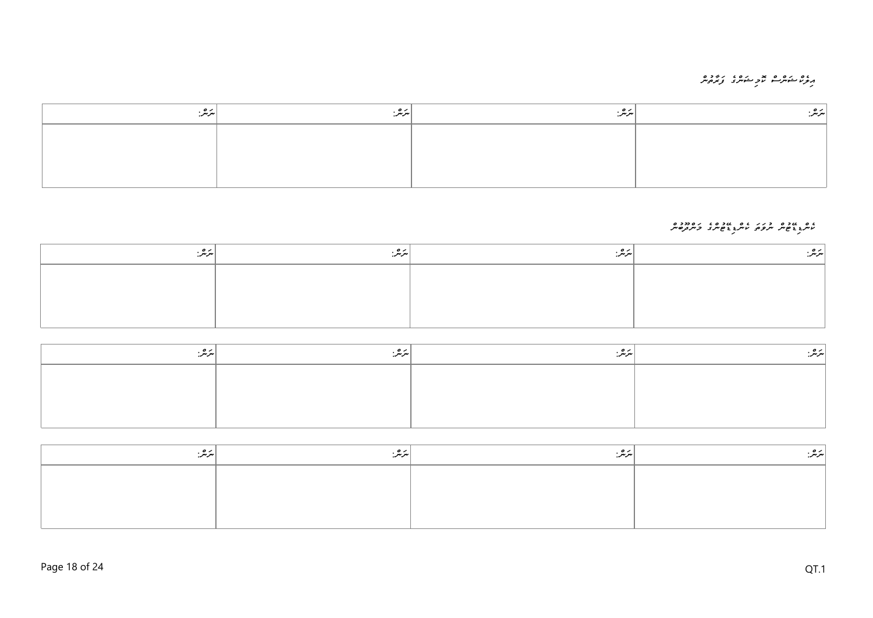## *w7qAn8m? sCw7mRo>u; wEw7mRw;sBo<*

| ' مرمر | 'يئرىثر: |
|--------|----------|
|        |          |
|        |          |
|        |          |

## *w7q9r@w7m> sCw7qHtFoFw7s; mAm=q7 w7qHtFoFw7s;*

| ىر تە | $\mathcal{O} \times$<br>$\sim$ | $\sim$<br>. . | لترنثر |
|-------|--------------------------------|---------------|--------|
|       |                                |               |        |
|       |                                |               |        |
|       |                                |               |        |

| انترنثر: | $^{\circ}$ | يبرهر | $^{\circ}$<br>سرسر |
|----------|------------|-------|--------------------|
|          |            |       |                    |
|          |            |       |                    |
|          |            |       |                    |

| ' ئىرتىر: | سر سر |  |
|-----------|-------|--|
|           |       |  |
|           |       |  |
|           |       |  |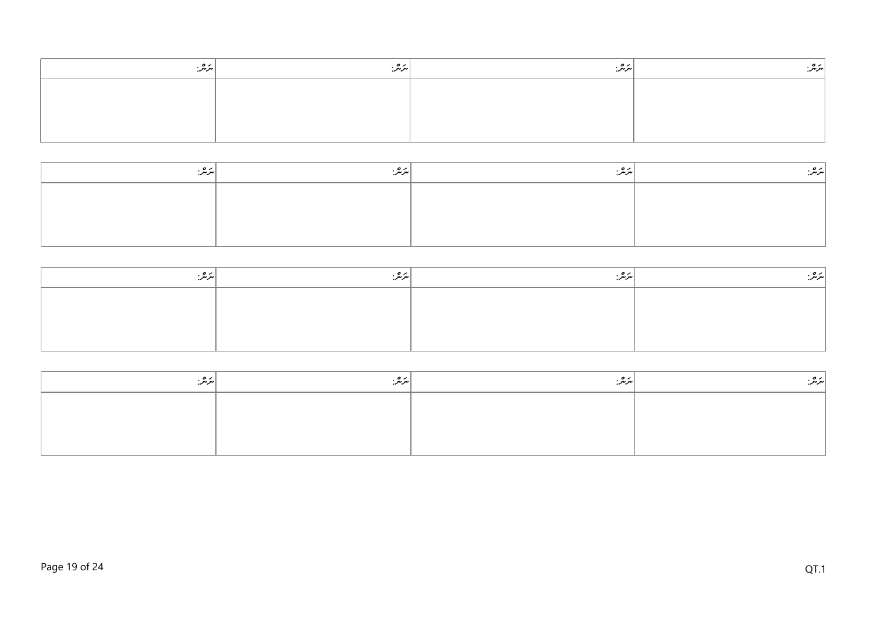| يزهر | $^{\circ}$ | ىئرىتر: |  |
|------|------------|---------|--|
|      |            |         |  |
|      |            |         |  |
|      |            |         |  |

| متريثر به | 。<br>'سرسر'۔ | يتزيترا | سرسر |
|-----------|--------------|---------|------|
|           |              |         |      |
|           |              |         |      |
|           |              |         |      |

| ىئرىتر. | $\sim$ | ا بر هه. | لىرىش |
|---------|--------|----------|-------|
|         |        |          |       |
|         |        |          |       |
|         |        |          |       |

| 。<br>مرس. | $\overline{\phantom{a}}$<br>مر مىر | يتريثر |
|-----------|------------------------------------|--------|
|           |                                    |        |
|           |                                    |        |
|           |                                    |        |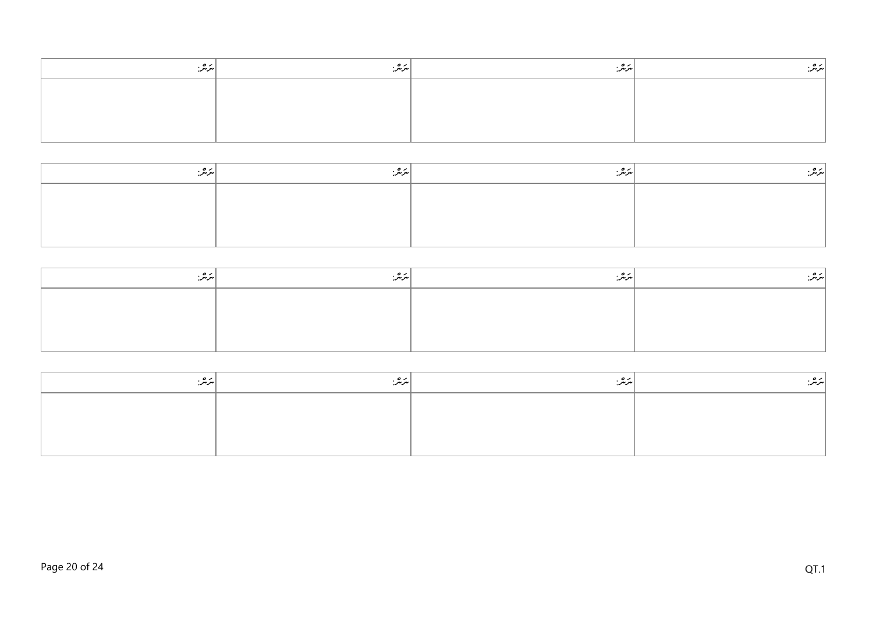| ير هو . | $\overline{\phantom{a}}$ | يرمر | اير هنه. |
|---------|--------------------------|------|----------|
|         |                          |      |          |
|         |                          |      |          |
|         |                          |      |          |

| ىر تىر: | $\circ$ $\sim$<br>" سرسر . | يبرحه | o . |
|---------|----------------------------|-------|-----|
|         |                            |       |     |
|         |                            |       |     |
|         |                            |       |     |

| 'تترنثر: | . .<br>يسمونس. |  |
|----------|----------------|--|
|          |                |  |
|          |                |  |
|          |                |  |

|  | . ه |
|--|-----|
|  |     |
|  |     |
|  |     |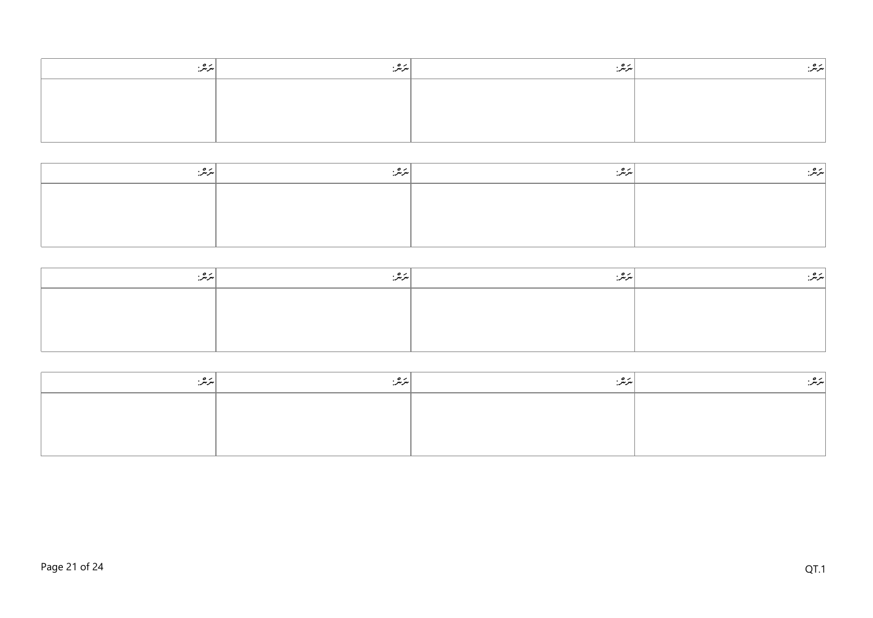| ير هو . | $\overline{\phantom{a}}$ | يرمر | اير هنه. |
|---------|--------------------------|------|----------|
|         |                          |      |          |
|         |                          |      |          |
|         |                          |      |          |

| ىر تىر: | $\circ$ $\sim$<br>" سرسر . | يبرحه | o . |
|---------|----------------------------|-------|-----|
|         |                            |       |     |
|         |                            |       |     |
|         |                            |       |     |

| 'تترنثر: | . .<br>يسمونس. |  |
|----------|----------------|--|
|          |                |  |
|          |                |  |
|          |                |  |

|  | . ه |
|--|-----|
|  |     |
|  |     |
|  |     |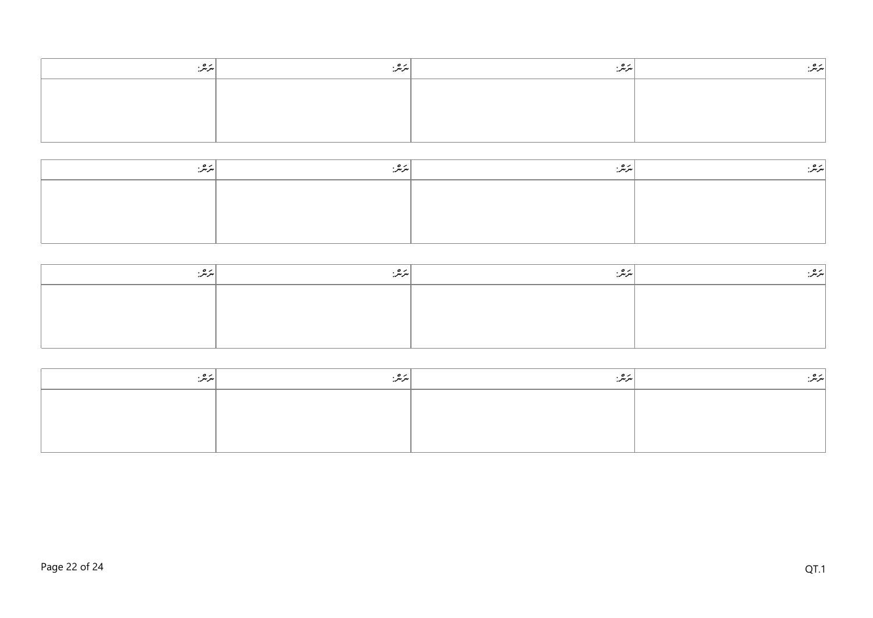| $\cdot$ | 。 | $\frac{\circ}{\cdot}$ | $\sim$<br>سرسر |
|---------|---|-----------------------|----------------|
|         |   |                       |                |
|         |   |                       |                |
|         |   |                       |                |

| يريثن | ' سرسر . |  |
|-------|----------|--|
|       |          |  |
|       |          |  |
|       |          |  |

| بره | $\overline{\phantom{a}}$ | $\sim$<br>َ سومس |  |
|-----|--------------------------|------------------|--|
|     |                          |                  |  |
|     |                          |                  |  |
|     |                          |                  |  |

| 。<br>. س | ىرىىر |  |
|----------|-------|--|
|          |       |  |
|          |       |  |
|          |       |  |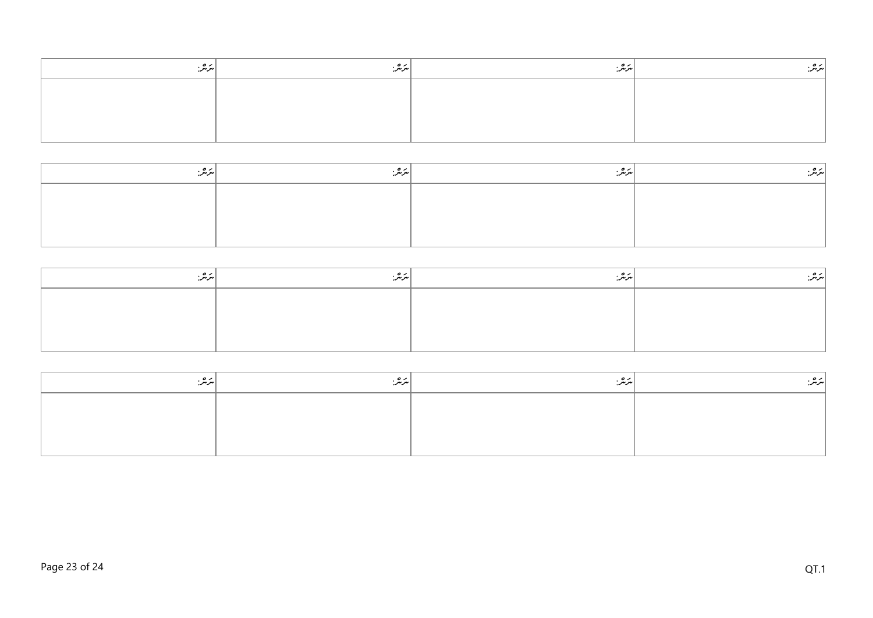| ير هو . | $\overline{\phantom{a}}$ | يرمر | اير هنه. |
|---------|--------------------------|------|----------|
|         |                          |      |          |
|         |                          |      |          |
|         |                          |      |          |

| ىر تىر: | $\circ$ $\sim$<br>" سرسر . | يبرحه | o . |
|---------|----------------------------|-------|-----|
|         |                            |       |     |
|         |                            |       |     |
|         |                            |       |     |

| 'تترنثر: | . .<br>يسمونس. |  |
|----------|----------------|--|
|          |                |  |
|          |                |  |
|          |                |  |

|  | . ه |
|--|-----|
|  |     |
|  |     |
|  |     |